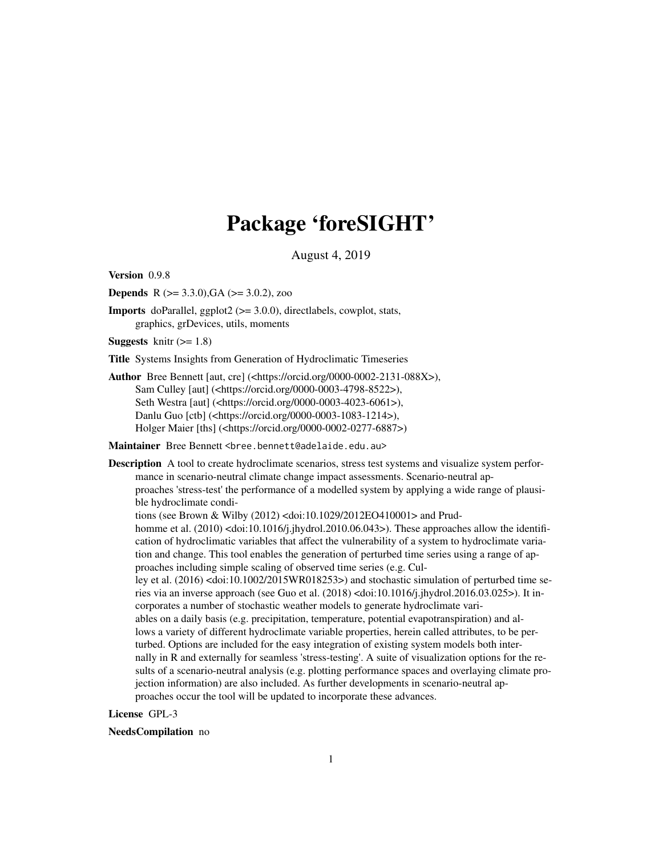# Package 'foreSIGHT'

August 4, 2019

Version 0.9.8

**Depends** R  $(>= 3.3.0)$ , GA  $(>= 3.0.2)$ , zoo

Imports doParallel, ggplot2 (>= 3.0.0), directlabels, cowplot, stats, graphics, grDevices, utils, moments

**Suggests** knitr  $(>= 1.8)$ 

Title Systems Insights from Generation of Hydroclimatic Timeseries

Author Bree Bennett [aut, cre] (<https://orcid.org/0000-0002-2131-088X>), Sam Culley [aut] (<https://orcid.org/0000-0003-4798-8522>), Seth Westra [aut] (<https://orcid.org/0000-0003-4023-6061>), Danlu Guo [ctb] (<https://orcid.org/0000-0003-1083-1214>), Holger Maier [ths] (<https://orcid.org/0000-0002-0277-6887>)

Maintainer Bree Bennett <bree.bennett@adelaide.edu.au>

Description A tool to create hydroclimate scenarios, stress test systems and visualize system performance in scenario-neutral climate change impact assessments. Scenario-neutral approaches 'stress-test' the performance of a modelled system by applying a wide range of plausible hydroclimate conditions (see Brown & Wilby (2012) <doi:10.1029/2012EO410001> and Prudhomme et al. (2010) <doi:10.1016/j.jhydrol.2010.06.043>). These approaches allow the identification of hydroclimatic variables that affect the vulnerability of a system to hydroclimate variation and change. This tool enables the generation of perturbed time series using a range of approaches including simple scaling of observed time series (e.g. Culley et al. (2016) <doi:10.1002/2015WR018253>) and stochastic simulation of perturbed time series via an inverse approach (see Guo et al.  $(2018)$  <doi:10.1016/j.jhydrol.2016.03.025>). It incorporates a number of stochastic weather models to generate hydroclimate variables on a daily basis (e.g. precipitation, temperature, potential evapotranspiration) and allows a variety of different hydroclimate variable properties, herein called attributes, to be perturbed. Options are included for the easy integration of existing system models both internally in R and externally for seamless 'stress-testing'. A suite of visualization options for the results of a scenario-neutral analysis (e.g. plotting performance spaces and overlaying climate projection information) are also included. As further developments in scenario-neutral approaches occur the tool will be updated to incorporate these advances.

# License GPL-3

#### NeedsCompilation no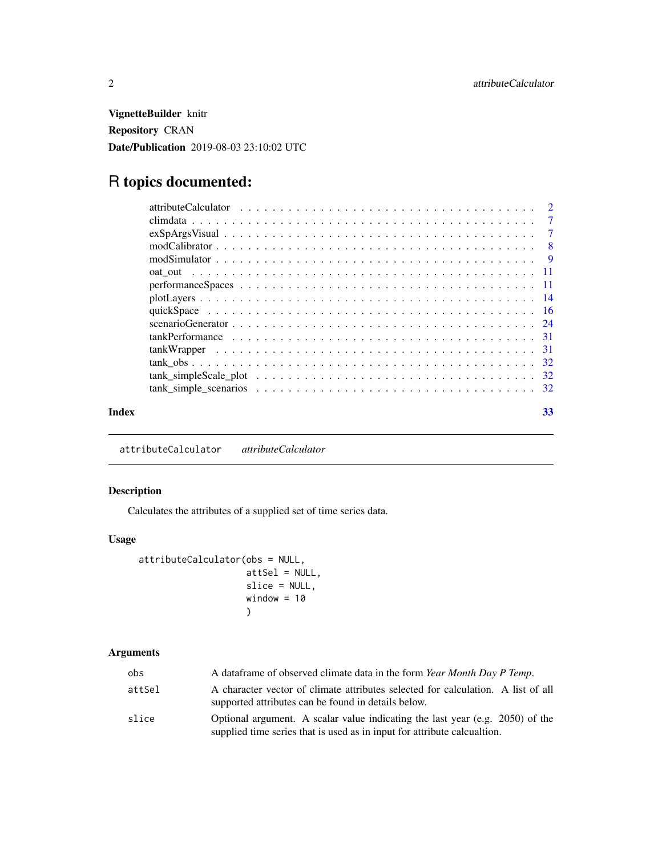<span id="page-1-0"></span>VignetteBuilder knitr Repository CRAN Date/Publication 2019-08-03 23:10:02 UTC

# R topics documented:

| Index | 33 |
|-------|----|

attributeCalculator *attributeCalculator*

# Description

Calculates the attributes of a supplied set of time series data.

# Usage

```
attributeCalculator(obs = NULL,
                    attSel = NULL,
                    slice = NULL,
                    window = 10)
```
# Arguments

| obs.   | A data frame of observed climate data in the form Year Month Day P Temp.                                                                                  |
|--------|-----------------------------------------------------------------------------------------------------------------------------------------------------------|
| attSel | A character vector of climate attributes selected for calculation. A list of all<br>supported attributes can be found in details below.                   |
| slice  | Optional argument. A scalar value indicating the last year (e.g. 2050) of the<br>supplied time series that is used as in input for attribute calcualtion. |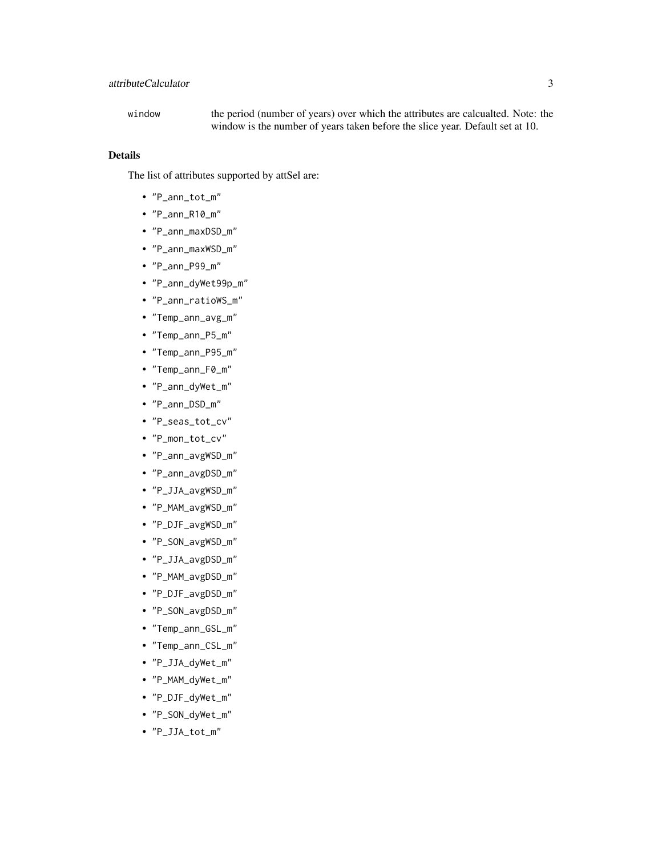window the period (number of years) over which the attributes are calcualted. Note: the window is the number of years taken before the slice year. Default set at 10.

# Details

The list of attributes supported by attSel are:

- "P\_ann\_tot\_m"
- "P\_ann\_R10\_m"
- "P\_ann\_maxDSD\_m"
- "P\_ann\_maxWSD\_m"
- "P\_ann\_P99\_m"
- "P\_ann\_dyWet99p\_m"
- "P\_ann\_ratioWS\_m"
- "Temp\_ann\_avg\_m"
- "Temp\_ann\_P5\_m"
- "Temp\_ann\_P95\_m"
- "Temp\_ann\_F0\_m"
- "P\_ann\_dyWet\_m"
- "P\_ann\_DSD\_m"
- "P\_seas\_tot\_cv"
- "P\_mon\_tot\_cv"
- "P\_ann\_avgWSD\_m"
- "P\_ann\_avgDSD\_m"
- "P\_JJA\_avgWSD\_m"
- "P\_MAM\_avgWSD\_m"
- "P\_DJF\_avgWSD\_m"
- "P\_SON\_avgWSD\_m"
- "P\_JJA\_avgDSD\_m"
- "P\_MAM\_avgDSD\_m"
- "P\_DJF\_avgDSD\_m"
- "P\_SON\_avgDSD\_m"
- "Temp\_ann\_GSL\_m"
- "Temp\_ann\_CSL\_m"
- "P\_JJA\_dyWet\_m"
- "P\_MAM\_dyWet\_m"
- "P\_DJF\_dyWet\_m"
- "P\_SON\_dyWet\_m"
- "P\_JJA\_tot\_m"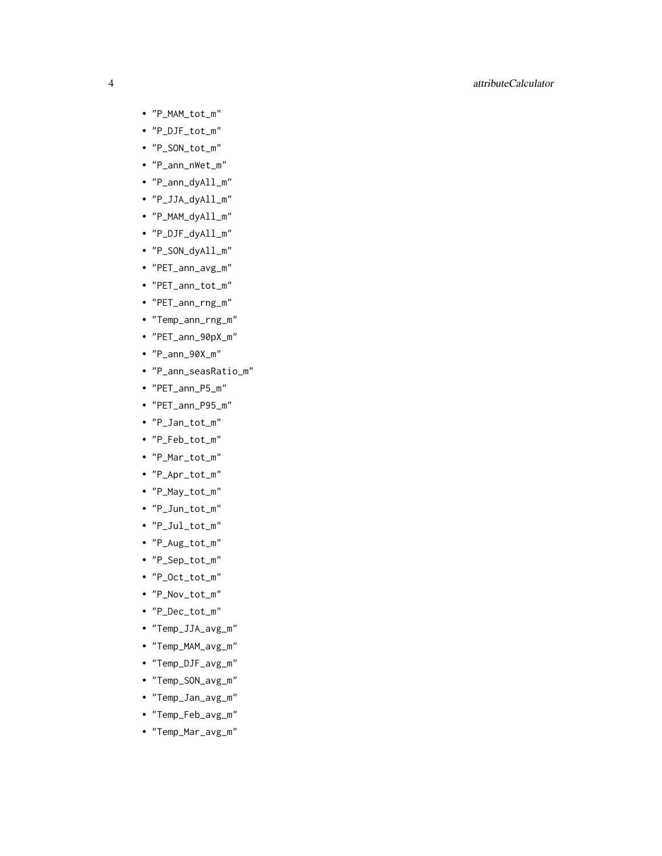# 4 attributeCalculator

- "P\_MAM\_tot\_m"
- "P\_DJF\_tot\_m"
- "P\_SON\_tot\_m"
- "P\_ann\_nWet\_m"
- "P\_ann\_dyAll\_m"
- "P\_JJA\_dyAll\_m"
- "P\_MAM\_dyAll\_m"
- "P\_DJF\_dyAll\_m"
- "P\_SON\_dyAll\_m"
- "PET\_ann\_avg\_m"
- "PET\_ann\_tot\_m"
- "PET\_ann\_rng\_m"
- "Temp\_ann\_rng\_m"
- "PET\_ann\_90pX\_m"
- "P\_ann\_90X\_m"
- "P\_ann\_seasRatio\_m"
- "PET\_ann\_P5\_m"
- "PET\_ann\_P95\_m"
- "P\_Jan\_tot\_m"
- "P\_Feb\_tot\_m"
- "P\_Mar\_tot\_m"
- "P\_Apr\_tot\_m"
- "P\_May\_tot\_m"
- "P\_Jun\_tot\_m"
- "P\_Jul\_tot\_m"
- "P\_Aug\_tot\_m"
- "P\_Sep\_tot\_m"
- "P\_Oct\_tot\_m"
- "P\_Nov\_tot\_m"
- "P\_Dec\_tot\_m"
- "Temp\_JJA\_avg\_m"
- "Temp\_MAM\_avg\_m"
- "Temp\_DJF\_avg\_m"
- "Temp\_SON\_avg\_m"
- "Temp\_Jan\_avg\_m"
- "Temp\_Feb\_avg\_m"
- "Temp\_Mar\_avg\_m"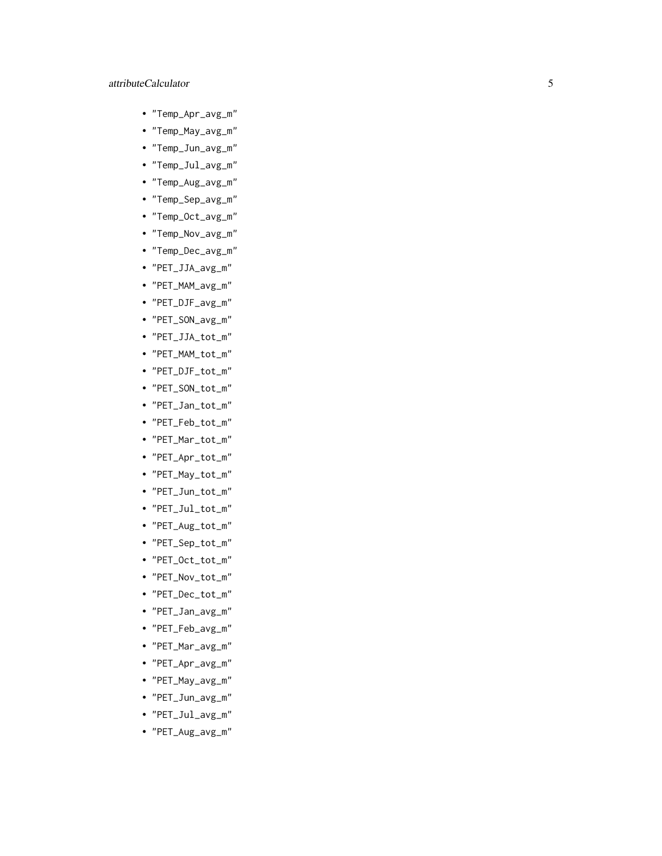# attributeCalculator

- "Temp\_Apr\_avg\_m"
- "Temp\_May\_avg\_m"
- "Temp\_Jun\_avg\_m"
- "Temp\_Jul\_avg\_m"
- "Temp\_Aug\_avg\_m"
- "Temp\_Sep\_avg\_m"
- "Temp\_Oct\_avg\_m"
- "Temp\_Nov\_avg\_m"
- "Temp\_Dec\_avg\_m"
- "PET\_JJA\_avg\_m"
- "PET\_MAM\_avg\_m"
- "PET\_DJF\_avg\_m"
- "PET\_SON\_avg\_m"
- "PET\_JJA\_tot\_m"
- "PET\_MAM\_tot\_m"
- "PET\_DJF\_tot\_m"
- "PET\_SON\_tot\_m"
- "PET\_Jan\_tot\_m"
- "PET\_Feb\_tot\_m"
- "PET\_Mar\_tot\_m"
- "PET\_Apr\_tot\_m"
- "PET\_May\_tot\_m"
- "PET\_Jun\_tot\_m"
- "PET\_Jul\_tot\_m"
- "PET\_Aug\_tot\_m"
- "PET\_Sep\_tot\_m"
- "PET\_Oct\_tot\_m"
- "PET\_Nov\_tot\_m"
- "PET\_Dec\_tot\_m"
- "PET\_Jan\_avg\_m"
- "PET\_Feb\_avg\_m"
- "PET\_Mar\_avg\_m"
- "PET\_Apr\_avg\_m"
- "PET\_May\_avg\_m"
- "PET\_Jun\_avg\_m"
- "PET\_Jul\_avg\_m"
- "PET\_Aug\_avg\_m"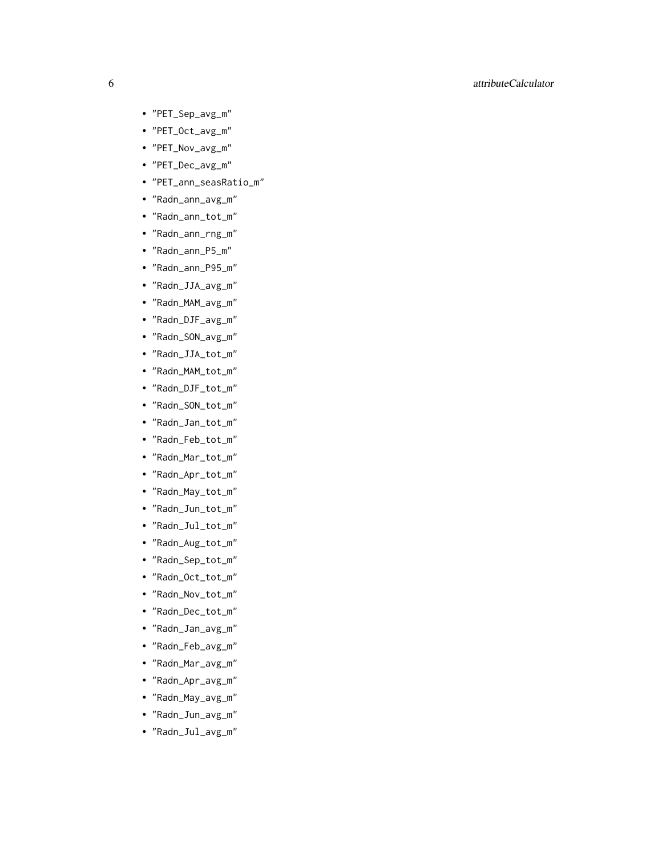# 6 attributeCalculator

- "PET\_Sep\_avg\_m"
- "PET\_Oct\_avg\_m"
- "PET\_Nov\_avg\_m"
- "PET\_Dec\_avg\_m"
- "PET\_ann\_seasRatio\_m"
- "Radn\_ann\_avg\_m"
- "Radn\_ann\_tot\_m"
- "Radn\_ann\_rng\_m"
- "Radn\_ann\_P5\_m"
- "Radn\_ann\_P95\_m"
- "Radn\_JJA\_avg\_m"
- "Radn\_MAM\_avg\_m"
- "Radn\_DJF\_avg\_m"
- "Radn\_SON\_avg\_m"
- "Radn\_JJA\_tot\_m"
- "Radn\_MAM\_tot\_m"
- "Radn\_DJF\_tot\_m"
- "Radn\_SON\_tot\_m"
- "Radn\_Jan\_tot\_m"
- "Radn\_Feb\_tot\_m"
- "Radn\_Mar\_tot\_m"
- "Radn\_Apr\_tot\_m"
- "Radn\_May\_tot\_m"
- "Radn\_Jun\_tot\_m"
- "Radn\_Jul\_tot\_m"
- "Radn\_Aug\_tot\_m"
- "Radn\_Sep\_tot\_m"
- "Radn\_Oct\_tot\_m"
- "Radn\_Nov\_tot\_m"
- "Radn\_Dec\_tot\_m"
- "Radn\_Jan\_avg\_m"
- "Radn\_Feb\_avg\_m"
- "Radn\_Mar\_avg\_m"
- "Radn\_Apr\_avg\_m"
- "Radn\_May\_avg\_m"
- "Radn\_Jun\_avg\_m"
- "Radn\_Jul\_avg\_m"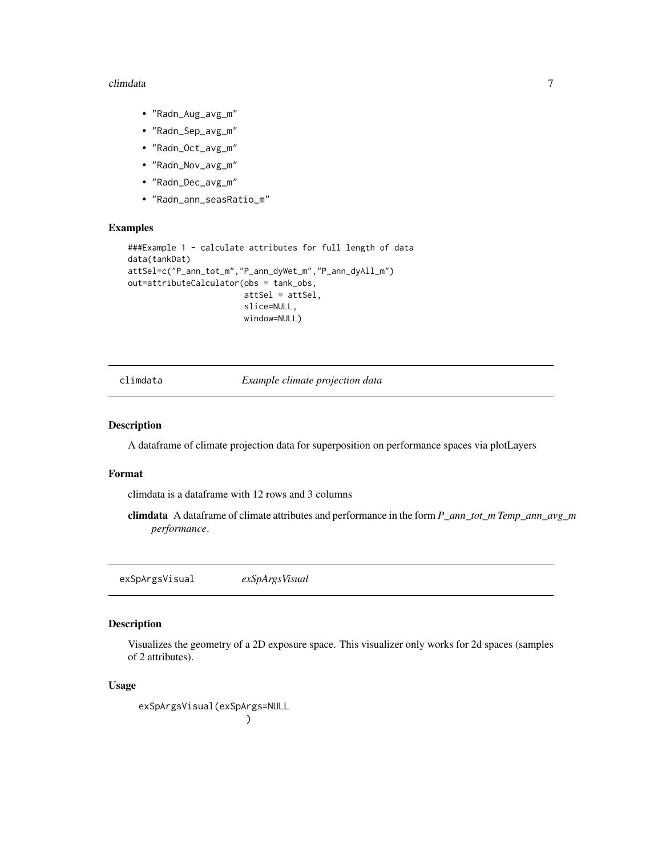#### <span id="page-6-0"></span>climdata **7**

- "Radn\_Aug\_avg\_m"
- "Radn\_Sep\_avg\_m"
- "Radn\_Oct\_avg\_m"
- "Radn\_Nov\_avg\_m"
- "Radn\_Dec\_avg\_m"
- "Radn\_ann\_seasRatio\_m"

## Examples

```
###Example 1 - calculate attributes for full length of data
data(tankDat)
attSel=c("P_ann_tot_m","P_ann_dyWet_m","P_ann_dyAll_m")
out=attributeCalculator(obs = tank_obs,
                        attSel = attSel,
                        slice=NULL,
                        window=NULL)
```
climdata *Example climate projection data*

#### Description

A dataframe of climate projection data for superposition on performance spaces via plotLayers

#### Format

climdata is a dataframe with 12 rows and 3 columns

climdata A dataframe of climate attributes and performance in the form *P\_ann\_tot\_m Temp\_ann\_avg\_m performance*.

exSpArgsVisual *exSpArgsVisual*

# Description

Visualizes the geometry of a 2D exposure space. This visualizer only works for 2d spaces (samples of 2 attributes).

# Usage

exSpArgsVisual(exSpArgs=NULL )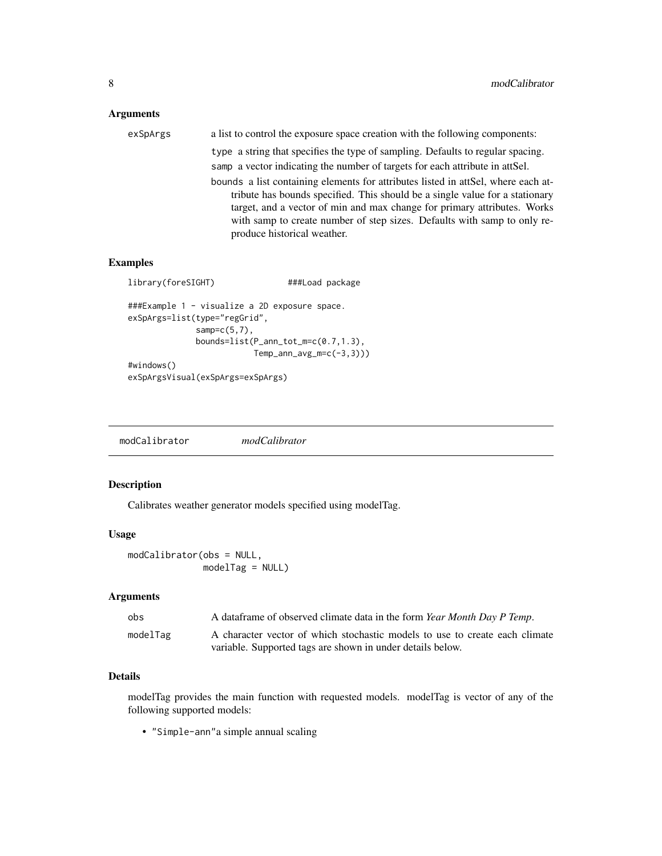# <span id="page-7-0"></span>Arguments

| exSpArgs | a list to control the exposure space creation with the following components:      |
|----------|-----------------------------------------------------------------------------------|
|          | type a string that specifies the type of sampling. Defaults to regular spacing.   |
|          | samp a vector indicating the number of targets for each attribute in attSel.      |
|          | bounds a list containing elements for attributes listed in attSel, where each at- |
|          | tribute has bounds specified. This should be a single value for a stationary      |
|          | target, and a vector of min and max change for primary attributes. Works          |
|          | with samp to create number of step sizes. Defaults with samp to only re-          |
|          | produce historical weather.                                                       |

# Examples

```
library(foreSIGHT) ###Load package
###Example 1 - visualize a 2D exposure space.
exSpArgs=list(type="regGrid",
             samp=c(5,7),
             bounds=list(P_ann_tot_m=c(0.7,1.3),
                        Temp_ann_avg_m=c(-3,3)))
#windows()
exSpArgsVisual(exSpArgs=exSpArgs)
```
modCalibrator *modCalibrator*

# Description

Calibrates weather generator models specified using modelTag.

# Usage

```
modCalibrator(obs = NULL,
             modelTag = NULL)
```
# Arguments

| obs      | A dataframe of observed climate data in the form <i>Year Month Day P Temp.</i> |
|----------|--------------------------------------------------------------------------------|
| modelTag | A character vector of which stochastic models to use to create each climate    |
|          | variable. Supported tags are shown in under details below.                     |

# Details

modelTag provides the main function with requested models. modelTag is vector of any of the following supported models:

• "Simple-ann"a simple annual scaling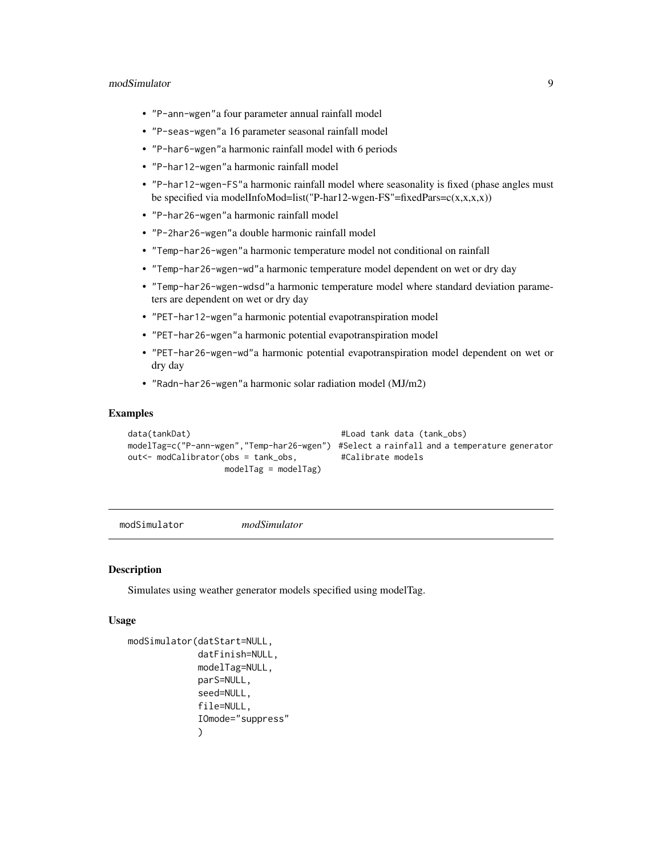# <span id="page-8-0"></span>modSimulator 9

- "P-ann-wgen"a four parameter annual rainfall model
- "P-seas-wgen"a 16 parameter seasonal rainfall model
- "P-har6-wgen"a harmonic rainfall model with 6 periods
- "P-har12-wgen"a harmonic rainfall model
- "P-har12-wgen-FS"a harmonic rainfall model where seasonality is fixed (phase angles must be specified via modelInfoMod=list("P-har12-wgen-FS"=fixedPars= $c(x,x,x,x)$ )
- "P-har26-wgen"a harmonic rainfall model
- "P-2har26-wgen"a double harmonic rainfall model
- "Temp-har26-wgen"a harmonic temperature model not conditional on rainfall
- "Temp-har26-wgen-wd"a harmonic temperature model dependent on wet or dry day
- "Temp-har26-wgen-wdsd"a harmonic temperature model where standard deviation parameters are dependent on wet or dry day
- "PET-har12-wgen"a harmonic potential evapotranspiration model
- "PET-har26-wgen"a harmonic potential evapotranspiration model
- "PET-har26-wgen-wd"a harmonic potential evapotranspiration model dependent on wet or dry day
- "Radn-har26-wgen"a harmonic solar radiation model (MJ/m2)

# Examples

```
data(tankDat) #Load tank data (tank\_obs)modelTag=c("P-ann-wgen","Temp-har26-wgen") #Select a rainfall and a temperature generator
out<- modCalibrator(obs = tank_obs, #Calibrate models
                modelTag = modelTag)
```
modSimulator *modSimulator*

# Description

Simulates using weather generator models specified using modelTag.

#### Usage

```
modSimulator(datStart=NULL,
             datFinish=NULL,
             modelTag=NULL,
             parS=NULL,
             seed=NULL,
             file=NULL,
             IOmode="suppress"
             )
```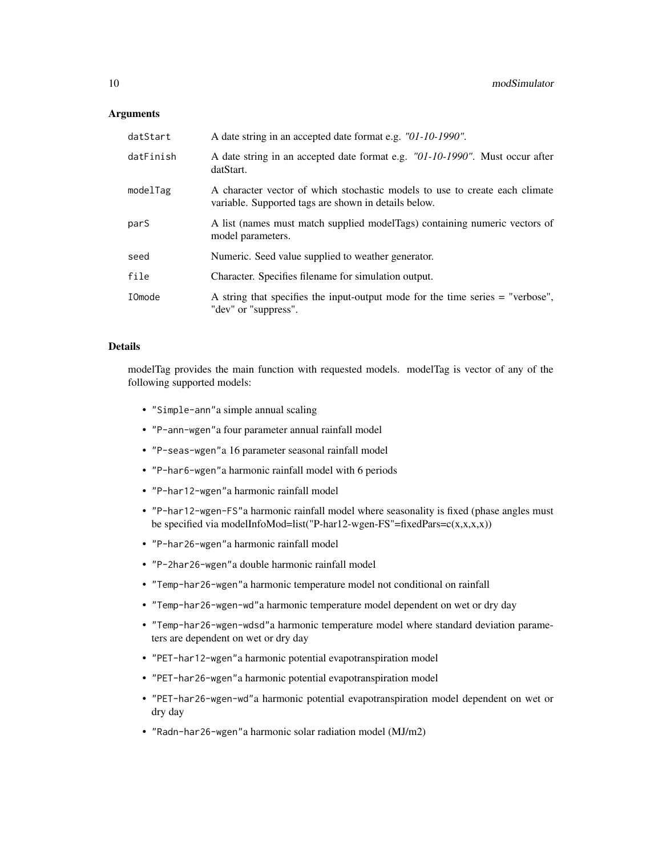# **Arguments**

| datStart      | A date string in an accepted date format e.g. "01-10-1990".                                                                         |
|---------------|-------------------------------------------------------------------------------------------------------------------------------------|
| datFinish     | A date string in an accepted date format e.g. "01-10-1990". Must occur after<br>datStart.                                           |
| modelTag      | A character vector of which stochastic models to use to create each climate<br>variable. Supported tags are shown in details below. |
| parS          | A list (names must match supplied modelTags) containing numeric vectors of<br>model parameters.                                     |
| seed          | Numeric. Seed value supplied to weather generator.                                                                                  |
| file          | Character. Specifies filename for simulation output.                                                                                |
| <b>IOmode</b> | A string that specifies the input-output mode for the time series = "verbose",<br>"dev" or "suppress".                              |

# Details

modelTag provides the main function with requested models. modelTag is vector of any of the following supported models:

- "Simple-ann"a simple annual scaling
- "P-ann-wgen"a four parameter annual rainfall model
- "P-seas-wgen"a 16 parameter seasonal rainfall model
- "P-har6-wgen"a harmonic rainfall model with 6 periods
- "P-har12-wgen"a harmonic rainfall model
- "P-har12-wgen-FS"a harmonic rainfall model where seasonality is fixed (phase angles must be specified via modelInfoMod=list("P-har12-wgen-FS"=fixedPars= $c(x,x,x,x)$ )
- "P-har26-wgen"a harmonic rainfall model
- "P-2har26-wgen"a double harmonic rainfall model
- "Temp-har26-wgen"a harmonic temperature model not conditional on rainfall
- "Temp-har26-wgen-wd"a harmonic temperature model dependent on wet or dry day
- "Temp-har26-wgen-wdsd"a harmonic temperature model where standard deviation parameters are dependent on wet or dry day
- "PET-har12-wgen"a harmonic potential evapotranspiration model
- "PET-har26-wgen"a harmonic potential evapotranspiration model
- "PET-har26-wgen-wd"a harmonic potential evapotranspiration model dependent on wet or dry day
- "Radn-har26-wgen"a harmonic solar radiation model (MJ/m2)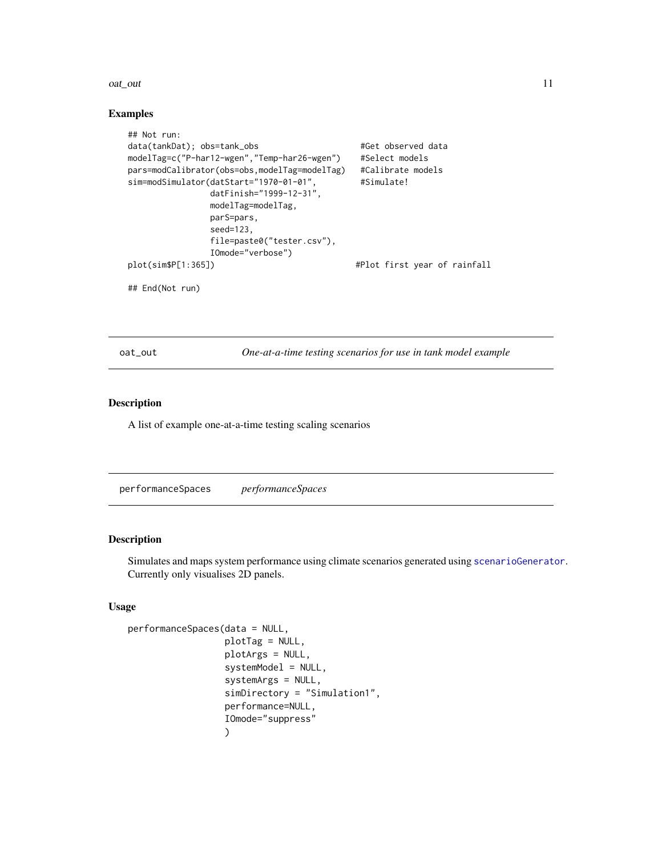#### <span id="page-10-0"></span>oat\_out 11

#### Examples

```
## Not run:
data(tankDat); obs=tank_obs #Get observed data
modelTag=c("P-har12-wgen","Temp-har26-wgen") #Select models
pars=modCalibrator(obs=obs,modelTag=modelTag) #Calibrate models
sim=modSimulator(datStart="1970-01-01", #Simulate!
               datFinish="1999-12-31",
               modelTag=modelTag,
               parS=pars,
               seed=123,
               file=paste0("tester.csv"),
               IOmode="verbose")
plot(sim$P[1:365]) \qquad \qquad \qquad #Plot first year of rainfall
## End(Not run)
```
oat\_out *One-at-a-time testing scenarios for use in tank model example*

#### Description

A list of example one-at-a-time testing scaling scenarios

<span id="page-10-1"></span>performanceSpaces *performanceSpaces*

#### Description

Simulates and maps system performance using climate scenarios generated using [scenarioGenerator](#page-23-1). Currently only visualises 2D panels.

# Usage

```
performanceSpaces(data = NULL,
                  plotTag = NULL,
                  plotArgs = NULL,
                  systemModel = NULL,
                  systemArgs = NULL,
                  simDirectory = "Simulation1",
                  performance=NULL,
                  IOmode="suppress"
                  )
```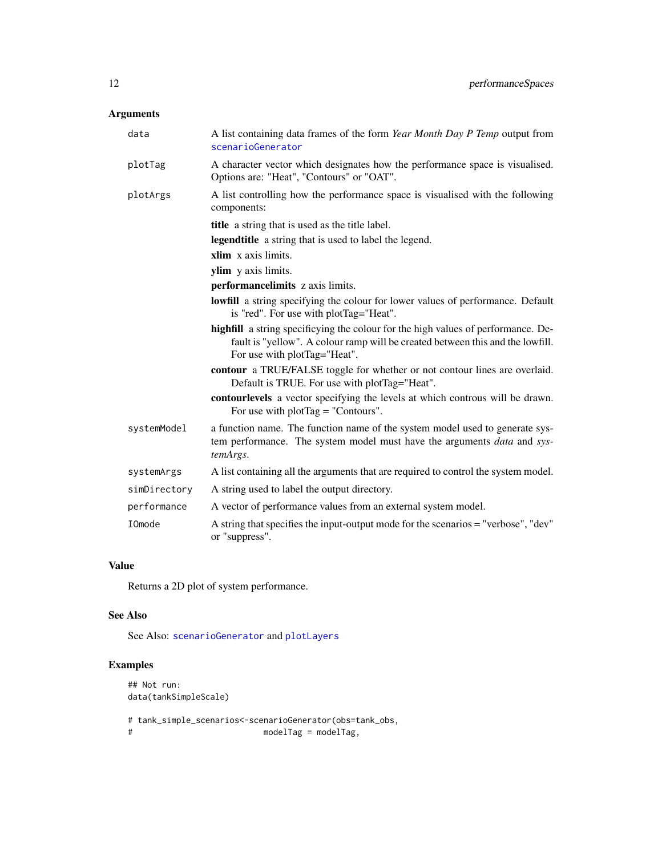# <span id="page-11-0"></span>Arguments

| data          | A list containing data frames of the form Year Month Day P Temp output from<br>scenarioGenerator                                                                                                    |  |  |
|---------------|-----------------------------------------------------------------------------------------------------------------------------------------------------------------------------------------------------|--|--|
| plotTag       | A character vector which designates how the performance space is visualised.<br>Options are: "Heat", "Contours" or "OAT".                                                                           |  |  |
| plotArgs      | A list controlling how the performance space is visualised with the following<br>components:                                                                                                        |  |  |
|               | title a string that is used as the title label.                                                                                                                                                     |  |  |
|               | legendtitle a string that is used to label the legend.                                                                                                                                              |  |  |
|               | xlim x axis limits.                                                                                                                                                                                 |  |  |
|               | ylim y axis limits.                                                                                                                                                                                 |  |  |
|               | performancelimits z axis limits.                                                                                                                                                                    |  |  |
|               | lowfill a string specifying the colour for lower values of performance. Default<br>is "red". For use with plotTag="Heat".                                                                           |  |  |
|               | highfill a string specificying the colour for the high values of performance. De-<br>fault is "yellow". A colour ramp will be created between this and the lowfill.<br>For use with plotTag="Heat". |  |  |
|               | contour a TRUE/FALSE toggle for whether or not contour lines are overlaid.<br>Default is TRUE. For use with plotTag="Heat".                                                                         |  |  |
|               | contourlevels a vector specifying the levels at which controus will be drawn.<br>For use with $plotTag = "Contours".$                                                                               |  |  |
| systemModel   | a function name. The function name of the system model used to generate sys-<br>tem performance. The system model must have the arguments data and sys-<br>temArgs.                                 |  |  |
| systemArgs    | A list containing all the arguments that are required to control the system model.                                                                                                                  |  |  |
| simDirectory  | A string used to label the output directory.                                                                                                                                                        |  |  |
| performance   | A vector of performance values from an external system model.                                                                                                                                       |  |  |
| <b>IOmode</b> | A string that specifies the input-output mode for the scenarios = "verbose", "dev"<br>or "suppress".                                                                                                |  |  |

# Value

Returns a 2D plot of system performance.

# See Also

See Also: [scenarioGenerator](#page-23-1) and [plotLayers](#page-13-1)

# Examples

```
## Not run:
data(tankSimpleScale)
# tank_simple_scenarios<-scenarioGenerator(obs=tank_obs,
                        modelTag = modelTag,
```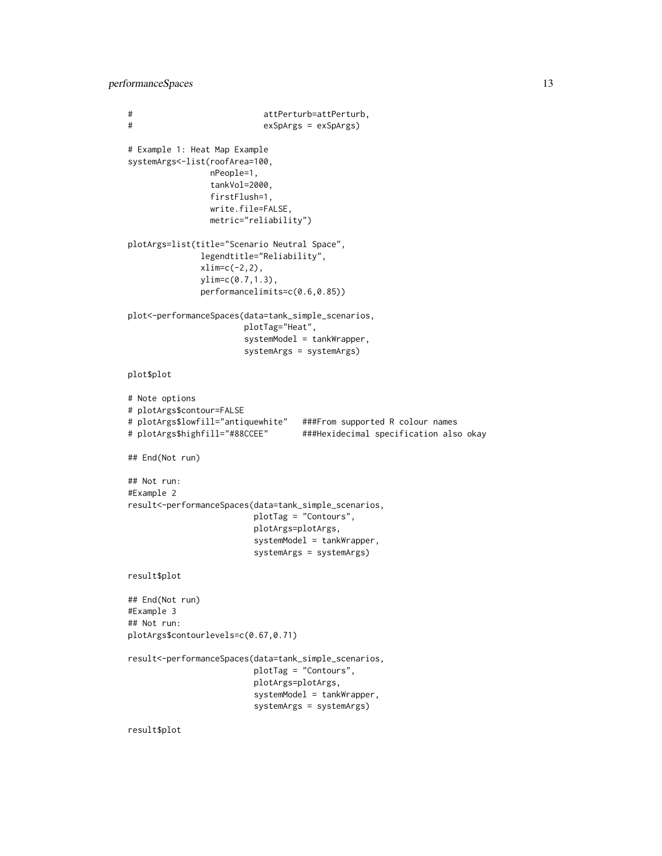performanceSpaces 13

```
# attPerturb=attPerturb,
# exSpArgs = exSpArgs)
# Example 1: Heat Map Example
systemArgs<-list(roofArea=100,
                nPeople=1,
                tankVol=2000,
                firstFlush=1,
                write.file=FALSE,
                metric="reliability")
plotArgs=list(title="Scenario Neutral Space",
              legendtitle="Reliability",
              xlim=c(-2,2),
              ylim=c(0.7,1.3),
              performancelimits=c(0.6,0.85))
plot<-performanceSpaces(data=tank_simple_scenarios,
                      plotTag="Heat",
                       systemModel = tankWrapper,
                       systemArgs = systemArgs)
plot$plot
# Note options
# plotArgs$contour=FALSE
# plotArgs$lowfill="antiquewhite" ###From supported R colour names
# plotArgs$highfill="#88CCEE" ###Hexidecimal specification also okay
## End(Not run)
## Not run:
#Example 2
result<-performanceSpaces(data=tank_simple_scenarios,
                        plotTag = "Contours",
                        plotArgs=plotArgs,
                         systemModel = tankWrapper,
                         systemArgs = systemArgs)
result$plot
## End(Not run)
#Example 3
## Not run:
plotArgs$contourlevels=c(0.67,0.71)
result<-performanceSpaces(data=tank_simple_scenarios,
                        plotTag = "Contours",
                         plotArgs=plotArgs,
                         systemModel = tankWrapper,
                         systemArgs = systemArgs)
```
result\$plot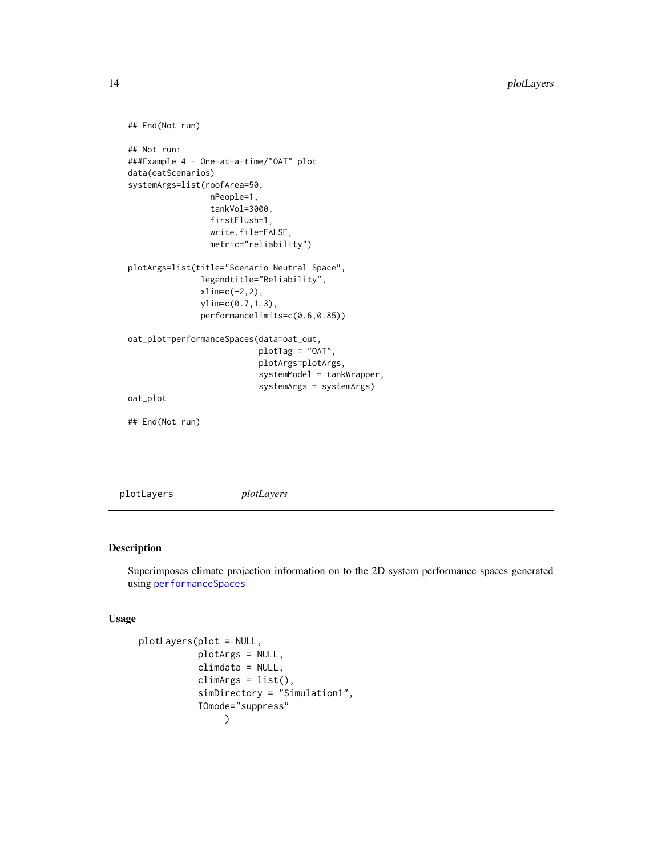```
## End(Not run)
## Not run:
###Example 4 - One-at-a-time/"OAT" plot
data(oatScenarios)
systemArgs=list(roofArea=50,
                 nPeople=1,
                 tankVol=3000,
                 firstFlush=1,
                 write.file=FALSE,
                 metric="reliability")
plotArgs=list(title="Scenario Neutral Space",
               legendtitle="Reliability",
               xlim=c(-2,2),
               ylim=c(0.7,1.3),
               performancelimits=c(0.6,0.85))
oat_plot=performanceSpaces(data=oat_out,
                           plotTag = "OAT",
                           plotArgs=plotArgs,
                           systemModel = tankWrapper,
                           systemArgs = systemArgs)
oat_plot
## End(Not run)
```
<span id="page-13-1"></span>plotLayers *plotLayers*

# Description

Superimposes climate projection information on to the 2D system performance spaces generated using [performanceSpaces](#page-10-1)

# Usage

```
plotLayers(plot = NULL,
           plotArgs = NULL,
           climdata = NULL,
           climArgs = list(),
           simDirectory = "Simulation1",
           IOmode="suppress"
                )
```
<span id="page-13-0"></span>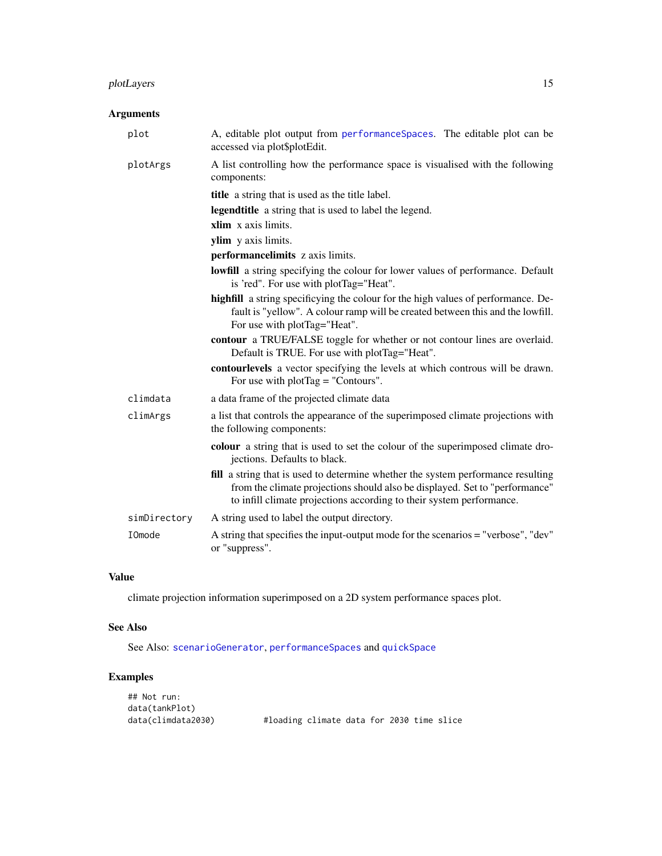# <span id="page-14-0"></span>plotLayers 15

# Arguments

| plot         | A, editable plot output from performanceSpaces. The editable plot can be<br>accessed via plot\$plotEdit.                                                                                                                                |
|--------------|-----------------------------------------------------------------------------------------------------------------------------------------------------------------------------------------------------------------------------------------|
| plotArgs     | A list controlling how the performance space is visualised with the following<br>components:                                                                                                                                            |
|              | <b>title</b> a string that is used as the title label.                                                                                                                                                                                  |
|              | <b>legendtitle</b> a string that is used to label the legend.                                                                                                                                                                           |
|              | xlim x axis limits.                                                                                                                                                                                                                     |
|              | ylim y axis limits.                                                                                                                                                                                                                     |
|              | performancelimits z axis limits.                                                                                                                                                                                                        |
|              | <b>lowfill</b> a string specifying the colour for lower values of performance. Default<br>is 'red". For use with plotTag="Heat".                                                                                                        |
|              | highfill a string specificying the colour for the high values of performance. De-<br>fault is "yellow". A colour ramp will be created between this and the lowfill.<br>For use with plotTag="Heat".                                     |
|              | contour a TRUE/FALSE toggle for whether or not contour lines are overlaid.<br>Default is TRUE. For use with plotTag="Heat".                                                                                                             |
|              | contourlevels a vector specifying the levels at which controus will be drawn.<br>For use with $plotTag = "Contours".$                                                                                                                   |
| climdata     | a data frame of the projected climate data                                                                                                                                                                                              |
| climArgs     | a list that controls the appearance of the superimposed climate projections with<br>the following components:                                                                                                                           |
|              | colour a string that is used to set the colour of the superimposed climate dro-<br>jections. Defaults to black.                                                                                                                         |
|              | fill a string that is used to determine whether the system performance resulting<br>from the climate projections should also be displayed. Set to "performance"<br>to infill climate projections according to their system performance. |
| simDirectory | A string used to label the output directory.                                                                                                                                                                                            |
| IOmode       | A string that specifies the input-output mode for the scenarios = "verbose", "dev"<br>or "suppress".                                                                                                                                    |

# Value

climate projection information superimposed on a 2D system performance spaces plot.

# See Also

See Also: [scenarioGenerator](#page-23-1), [performanceSpaces](#page-10-1) and [quickSpace](#page-15-1)

# Examples

| ## Not run:        |                                           |  |  |  |
|--------------------|-------------------------------------------|--|--|--|
| data(tankPlot)     |                                           |  |  |  |
| data(climdata2030) | #loading climate data for 2030 time slice |  |  |  |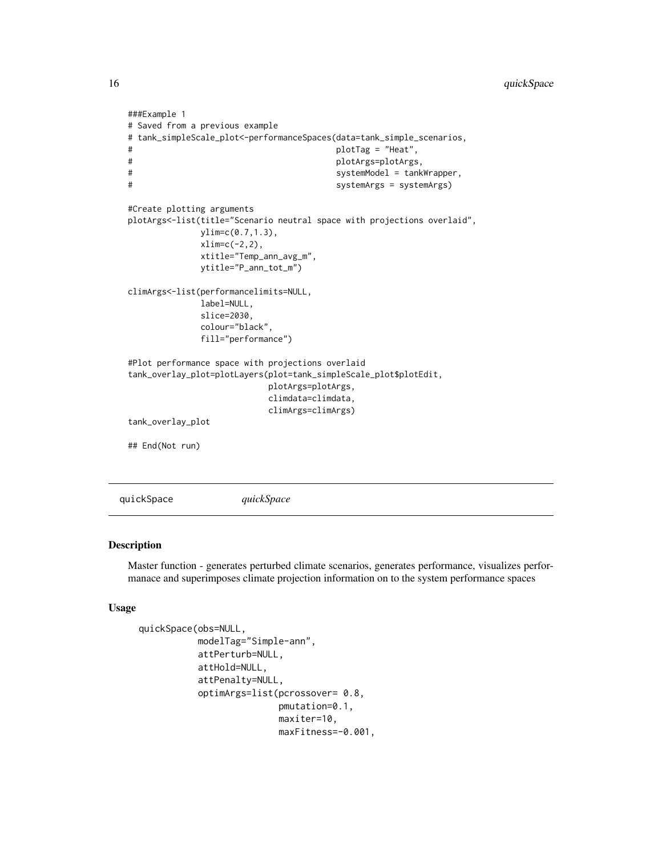```
###Example 1
# Saved from a previous example
# tank_simpleScale_plot<-performanceSpaces(data=tank_simple_scenarios,
# plotTag = "Heat",
# plotArgs=plotArgs,
# systemModel = tankWrapper,
# systemArgs = systemArgs)
#Create plotting arguments
plotArgs<-list(title="Scenario neutral space with projections overlaid",
            ylim=c(0.7,1.3),
            xlim=c(-2,2),
            xtitle="Temp_ann_avg_m",
            ytitle="P_ann_tot_m")
climArgs<-list(performancelimits=NULL,
            label=NULL,
            slice=2030,
            colour="black",
            fill="performance")
#Plot performance space with projections overlaid
tank_overlay_plot=plotLayers(plot=tank_simpleScale_plot$plotEdit,
                       plotArgs=plotArgs,
                       climdata=climdata,
                       climArgs=climArgs)
tank_overlay_plot
## End(Not run)
```
<span id="page-15-1"></span>quickSpace *quickSpace*

### Description

Master function - generates perturbed climate scenarios, generates performance, visualizes performanace and superimposes climate projection information on to the system performance spaces

#### Usage

```
quickSpace(obs=NULL,
           modelTag="Simple-ann",
           attPerturb=NULL,
           attHold=NULL,
           attPenalty=NULL,
           optimArgs=list(pcrossover= 0.8,
                          pmutation=0.1,
                          maxiter=10,
                          maxFitness=-0.001,
```
<span id="page-15-0"></span>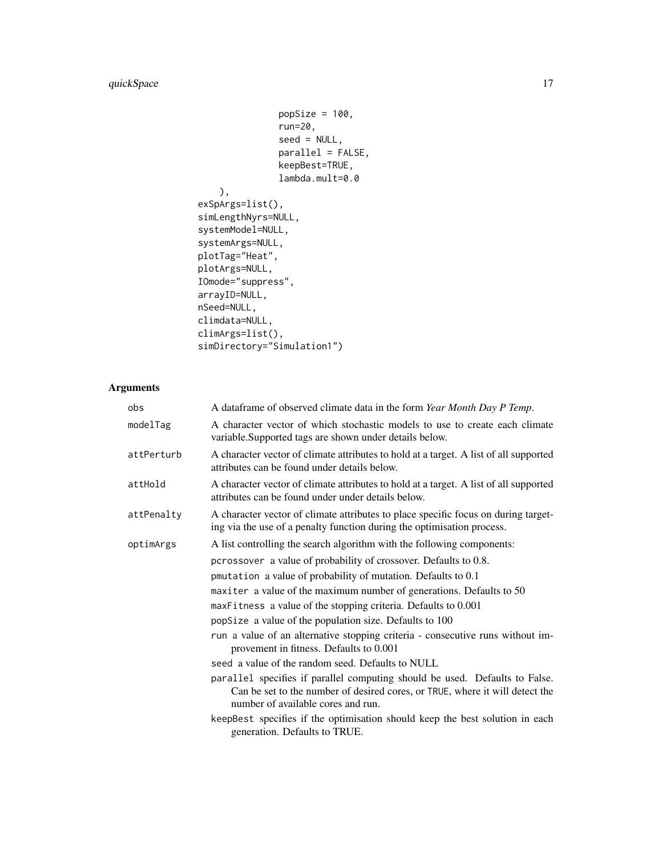```
popSize = 100,run=20,
               seed = NULL,parallel = FALSE,
               keepBest=TRUE,
               lambda.mult=0.0
    ),
exSpArgs=list(),
simLengthNyrs=NULL,
systemModel=NULL,
systemArgs=NULL,
plotTag="Heat",
plotArgs=NULL,
IOmode="suppress",
arrayID=NULL,
nSeed=NULL,
climdata=NULL,
climArgs=list(),
simDirectory="Simulation1")
```
# Arguments

| obs        | A dataframe of observed climate data in the form Year Month Day P Temp.                                                                                                                           |
|------------|---------------------------------------------------------------------------------------------------------------------------------------------------------------------------------------------------|
| modelTag   | A character vector of which stochastic models to use to create each climate<br>variable. Supported tags are shown under details below.                                                            |
| attPerturb | A character vector of climate attributes to hold at a target. A list of all supported<br>attributes can be found under details below.                                                             |
| attHold    | A character vector of climate attributes to hold at a target. A list of all supported<br>attributes can be found under under details below.                                                       |
| attPenalty | A character vector of climate attributes to place specific focus on during target-<br>ing via the use of a penalty function during the optimisation process.                                      |
| optimArgs  | A list controlling the search algorithm with the following components:                                                                                                                            |
|            | pcrossover a value of probability of crossover. Defaults to 0.8.                                                                                                                                  |
|            | pmutation a value of probability of mutation. Defaults to 0.1                                                                                                                                     |
|            | maxiter a value of the maximum number of generations. Defaults to 50                                                                                                                              |
|            | maxFitness a value of the stopping criteria. Defaults to 0.001                                                                                                                                    |
|            | popSize a value of the population size. Defaults to 100                                                                                                                                           |
|            | run a value of an alternative stopping criteria - consecutive runs without im-<br>provement in fitness. Defaults to 0.001                                                                         |
|            | seed a value of the random seed. Defaults to NULL                                                                                                                                                 |
|            | parallel specifies if parallel computing should be used. Defaults to False.<br>Can be set to the number of desired cores, or TRUE, where it will detect the<br>number of available cores and run. |
|            | keepBest specifies if the optimisation should keep the best solution in each<br>generation. Defaults to TRUE.                                                                                     |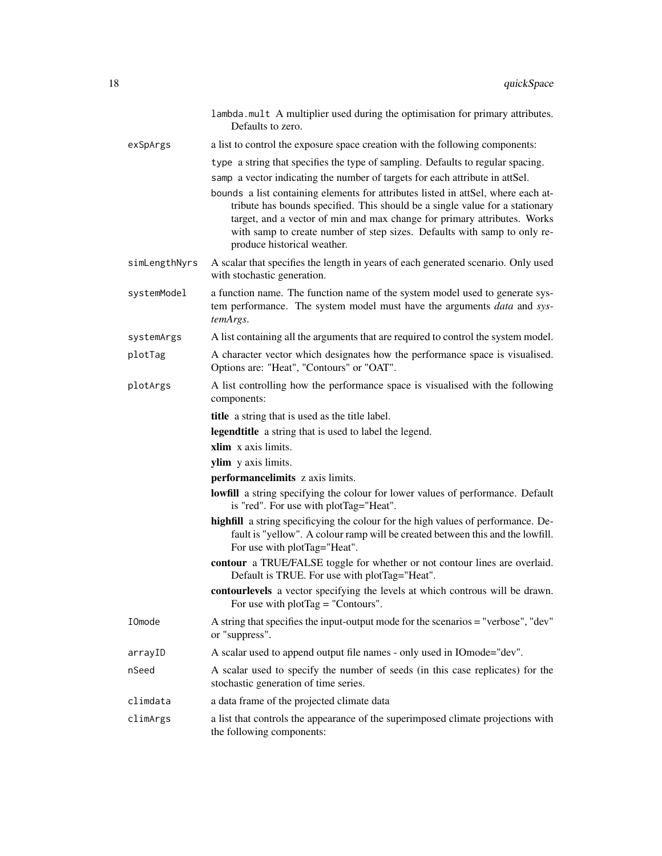|               | lambda.mult A multiplier used during the optimisation for primary attributes.<br>Defaults to zero.                                                                                                                                                                                                                                                                                                                                                                                                                          |
|---------------|-----------------------------------------------------------------------------------------------------------------------------------------------------------------------------------------------------------------------------------------------------------------------------------------------------------------------------------------------------------------------------------------------------------------------------------------------------------------------------------------------------------------------------|
| exSpArgs      | a list to control the exposure space creation with the following components:                                                                                                                                                                                                                                                                                                                                                                                                                                                |
|               | type a string that specifies the type of sampling. Defaults to regular spacing.<br>samp a vector indicating the number of targets for each attribute in attSel.<br>bounds a list containing elements for attributes listed in attSel, where each at-<br>tribute has bounds specified. This should be a single value for a stationary<br>target, and a vector of min and max change for primary attributes. Works<br>with samp to create number of step sizes. Defaults with samp to only re-<br>produce historical weather. |
| simLengthNyrs | A scalar that specifies the length in years of each generated scenario. Only used<br>with stochastic generation.                                                                                                                                                                                                                                                                                                                                                                                                            |
| systemModel   | a function name. The function name of the system model used to generate sys-<br>tem performance. The system model must have the arguments data and sys-<br>temArgs.                                                                                                                                                                                                                                                                                                                                                         |
| systemArgs    | A list containing all the arguments that are required to control the system model.                                                                                                                                                                                                                                                                                                                                                                                                                                          |
| plotTag       | A character vector which designates how the performance space is visualised.<br>Options are: "Heat", "Contours" or "OAT".                                                                                                                                                                                                                                                                                                                                                                                                   |
| plotArgs      | A list controlling how the performance space is visualised with the following<br>components:                                                                                                                                                                                                                                                                                                                                                                                                                                |
|               | title a string that is used as the title label.                                                                                                                                                                                                                                                                                                                                                                                                                                                                             |
|               | legendtitle a string that is used to label the legend.                                                                                                                                                                                                                                                                                                                                                                                                                                                                      |
|               | xlim x axis limits.                                                                                                                                                                                                                                                                                                                                                                                                                                                                                                         |
|               | ylim y axis limits.                                                                                                                                                                                                                                                                                                                                                                                                                                                                                                         |
|               | performancelimits z axis limits.                                                                                                                                                                                                                                                                                                                                                                                                                                                                                            |
|               | <b>lowfill</b> a string specifying the colour for lower values of performance. Default<br>is "red". For use with plotTag="Heat".                                                                                                                                                                                                                                                                                                                                                                                            |
|               | highfill a string specificying the colour for the high values of performance. De-<br>fault is "yellow". A colour ramp will be created between this and the lowfill.<br>For use with plotTag="Heat".                                                                                                                                                                                                                                                                                                                         |
|               | contour a TRUE/FALSE toggle for whether or not contour lines are overlaid.<br>Default is TRUE. For use with plotTag="Heat".                                                                                                                                                                                                                                                                                                                                                                                                 |
|               | contourlevels a vector specifying the levels at which controus will be drawn.<br>For use with $plotTag = "Contours".$                                                                                                                                                                                                                                                                                                                                                                                                       |
| IOmode        | A string that specifies the input-output mode for the scenarios = "verbose", "dev"<br>or "suppress".                                                                                                                                                                                                                                                                                                                                                                                                                        |
| arrayID       | A scalar used to append output file names - only used in IOmode="dev".                                                                                                                                                                                                                                                                                                                                                                                                                                                      |
| nSeed         |                                                                                                                                                                                                                                                                                                                                                                                                                                                                                                                             |
|               | A scalar used to specify the number of seeds (in this case replicates) for the<br>stochastic generation of time series.                                                                                                                                                                                                                                                                                                                                                                                                     |
| climdata      | a data frame of the projected climate data                                                                                                                                                                                                                                                                                                                                                                                                                                                                                  |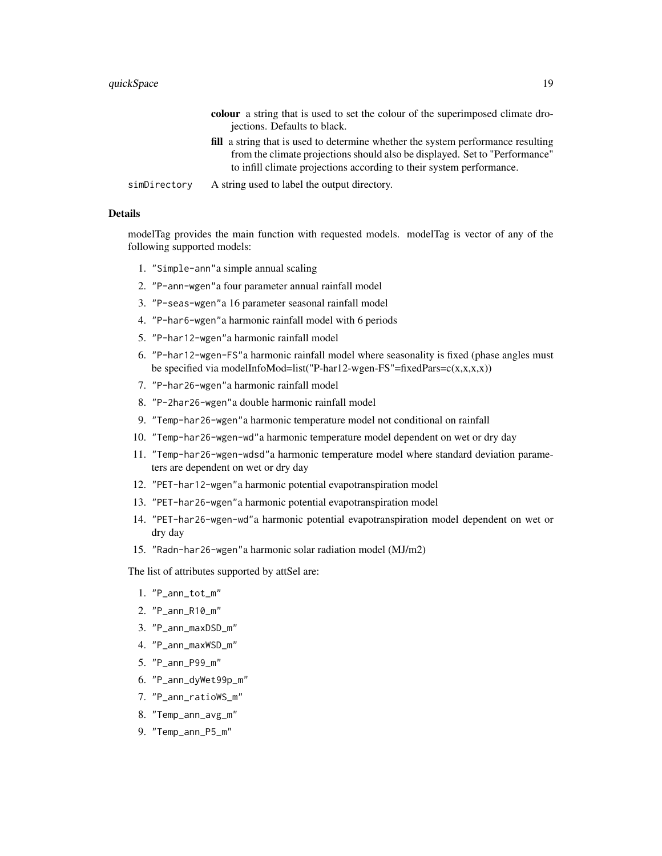|              | <b>colour</b> a string that is used to set the colour of the superimposed climate dro-  |
|--------------|-----------------------------------------------------------------------------------------|
|              | jections. Defaults to black.                                                            |
|              | <b>fill</b> a string that is used to determine whether the system performance resulting |
|              | from the climate projections should also be displayed. Set to "Performance"             |
|              | to infill climate projections according to their system performance.                    |
| simDirectory | A string used to label the output directory.                                            |

# Details

modelTag provides the main function with requested models. modelTag is vector of any of the following supported models:

- 1. "Simple-ann"a simple annual scaling
- 2. "P-ann-wgen"a four parameter annual rainfall model
- 3. "P-seas-wgen"a 16 parameter seasonal rainfall model
- 4. "P-har6-wgen"a harmonic rainfall model with 6 periods
- 5. "P-har12-wgen"a harmonic rainfall model
- 6. "P-har12-wgen-FS"a harmonic rainfall model where seasonality is fixed (phase angles must be specified via modelInfoMod=list("P-har12-wgen-FS"=fixedPars= $c(x,x,x,x)$ )
- 7. "P-har26-wgen"a harmonic rainfall model
- 8. "P-2har26-wgen"a double harmonic rainfall model
- 9. "Temp-har26-wgen"a harmonic temperature model not conditional on rainfall
- 10. "Temp-har26-wgen-wd"a harmonic temperature model dependent on wet or dry day
- 11. "Temp-har26-wgen-wdsd"a harmonic temperature model where standard deviation parameters are dependent on wet or dry day
- 12. "PET-har12-wgen"a harmonic potential evapotranspiration model
- 13. "PET-har26-wgen"a harmonic potential evapotranspiration model
- 14. "PET-har26-wgen-wd"a harmonic potential evapotranspiration model dependent on wet or dry day
- 15. "Radn-har26-wgen"a harmonic solar radiation model (MJ/m2)

The list of attributes supported by attSel are:

- 1. "P\_ann\_tot\_m"
- 2. "P\_ann\_R10\_m"
- 3. "P\_ann\_maxDSD\_m"
- 4. "P\_ann\_maxWSD\_m"
- 5. "P\_ann\_P99\_m"
- 6. "P\_ann\_dyWet99p\_m"
- 7. "P\_ann\_ratioWS\_m"
- 8. "Temp\_ann\_avg\_m"
- 9. "Temp\_ann\_P5\_m"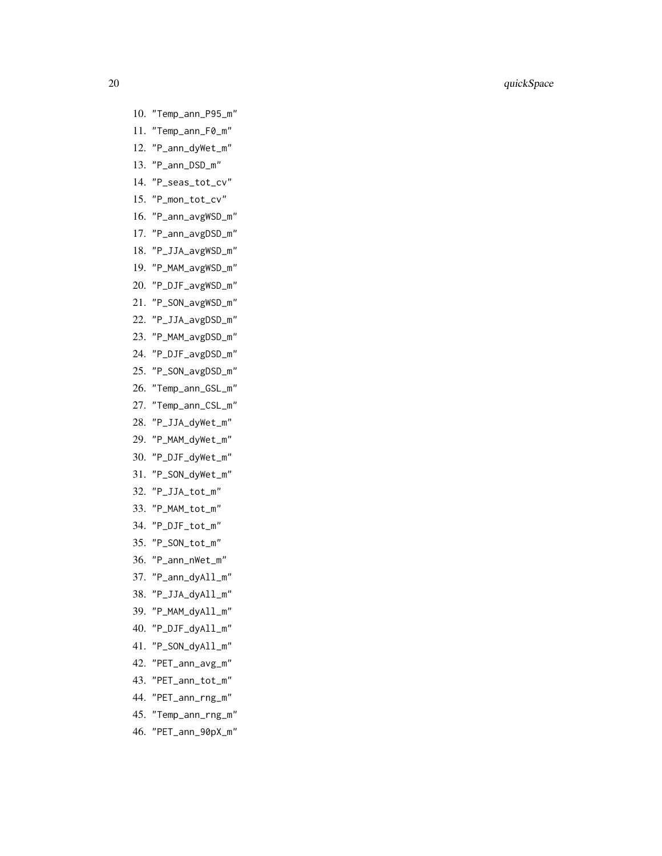- 10. "Temp\_ann\_P95\_m"
- 11. "Temp\_ann\_F0\_m"
- 12. "P\_ann\_dyWet\_m"
- 13. "P\_ann\_DSD\_m"
- 14. "P\_seas\_tot\_cv"
- 15. "P\_mon\_tot\_cv"
- 16. "P\_ann\_avgWSD\_m"
- 17. "P\_ann\_avgDSD\_m"
- 18. "P\_JJA\_avgWSD\_m"
- 19. "P\_MAM\_avgWSD\_m"
- 20. "P\_DJF\_avgWSD\_m"
- 21. "P\_SON\_avgWSD\_m"
- 22. "P\_JJA\_avgDSD\_m"
- 23. "P\_MAM\_avgDSD\_m"
- 24. "P\_DJF\_avgDSD\_m"
- 25. "P\_SON\_avgDSD\_m"
- 26. "Temp\_ann\_GSL\_m"
- 27. "Temp\_ann\_CSL\_m"
- 28. "P\_JJA\_dyWet\_m"
- 29. "P\_MAM\_dyWet\_m"
- 30. "P\_DJF\_dyWet\_m"
- 31. "P\_SON\_dyWet\_m"
- 32. "P\_JJA\_tot\_m"
- 33. "P\_MAM\_tot\_m"
- 34. "P\_DJF\_tot\_m"
- 35. "P\_SON\_tot\_m"
- 36. "P\_ann\_nWet\_m"
- 37. "P\_ann\_dyAll\_m"
- 38. "P\_JJA\_dyAll\_m"
- 39. "P\_MAM\_dyAll\_m"
- 40. "P\_DJF\_dyAll\_m"
- 41. "P\_SON\_dyAll\_m"
- 42. "PET\_ann\_avg\_m"
- 43. "PET\_ann\_tot\_m"
- 44. "PET\_ann\_rng\_m"
- 45. "Temp\_ann\_rng\_m"
- 46. "PET\_ann\_90pX\_m"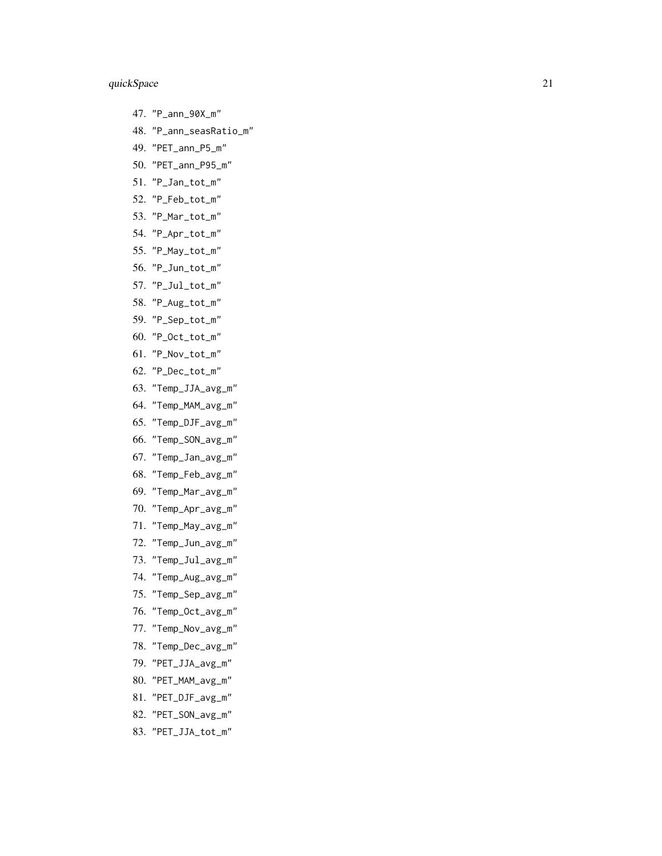- 47. "P\_ann\_90X\_m"
- 48. "P\_ann\_seasRatio\_m"
- 49. "PET\_ann\_P5\_m"
- 50. "PET\_ann\_P95\_m"
- 51. "P\_Jan\_tot\_m"
- 52. "P\_Feb\_tot\_m"
- 53. "P\_Mar\_tot\_m"
- 54. "P\_Apr\_tot\_m"
- 55. "P\_May\_tot\_m"
- 56. "P\_Jun\_tot\_m"
- 57. "P\_Jul\_tot\_m"
- 58. "P\_Aug\_tot\_m"
- 59. "P\_Sep\_tot\_m"
- 60. "P\_Oct\_tot\_m"
- 61. "P\_Nov\_tot\_m"
- 62. "P\_Dec\_tot\_m"
- 63. "Temp\_JJA\_avg\_m"
- 64. "Temp\_MAM\_avg\_m"
- 65. "Temp\_DJF\_avg\_m"
- 66. "Temp\_SON\_avg\_m"
- 67. "Temp\_Jan\_avg\_m"
- 68. "Temp\_Feb\_avg\_m"
- 69. "Temp\_Mar\_avg\_m"
- 70. "Temp\_Apr\_avg\_m"
- 71. "Temp\_May\_avg\_m"
- 72. "Temp\_Jun\_avg\_m"
- 73. "Temp\_Jul\_avg\_m"
- 74. "Temp\_Aug\_avg\_m"
- 75. "Temp\_Sep\_avg\_m"
- 76. "Temp\_Oct\_avg\_m"
- 77. "Temp\_Nov\_avg\_m"
- 78. "Temp\_Dec\_avg\_m"
- 79. "PET\_JJA\_avg\_m"
- 80. "PET\_MAM\_avg\_m"
- 81. "PET\_DJF\_avg\_m"
- 82. "PET\_SON\_avg\_m"
- 83. "PET\_JJA\_tot\_m"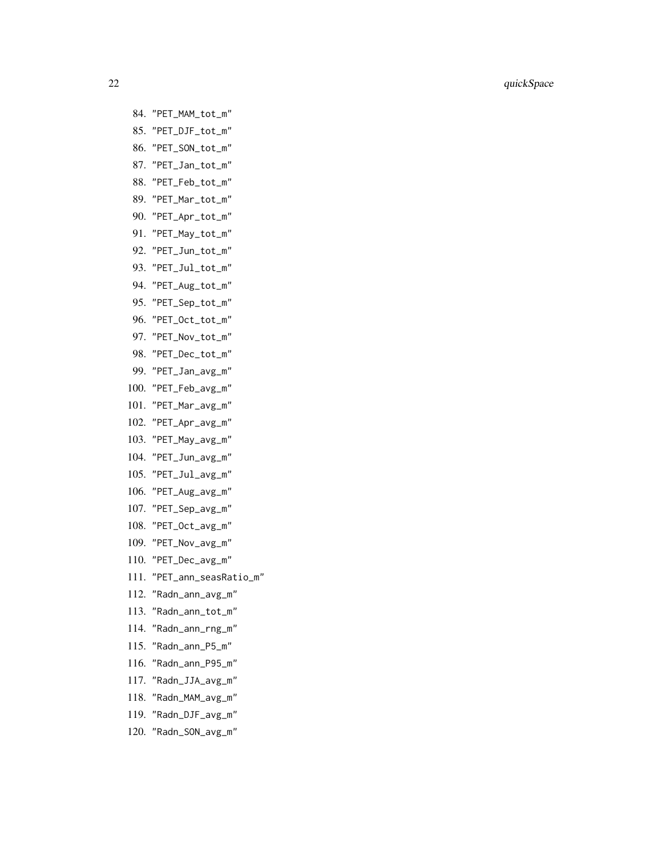- 84. "PET\_MAM\_tot\_m" 85. "PET\_DJF\_tot\_m" 86. "PET\_SON\_tot\_m" 87. "PET\_Jan\_tot\_m" 88. "PET\_Feb\_tot\_m" 89. "PET\_Mar\_tot\_m" 90. "PET\_Apr\_tot\_m" 91. "PET\_May\_tot\_m" 92. "PET\_Jun\_tot\_m" 93. "PET\_Jul\_tot\_m" 94. "PET\_Aug\_tot\_m" 95. "PET\_Sep\_tot\_m" 96. "PET\_Oct\_tot\_m" 97. "PET\_Nov\_tot\_m" 98. "PET\_Dec\_tot\_m" 99. "PET\_Jan\_avg\_m" 100. "PET\_Feb\_avg\_m" 101. "PET\_Mar\_avg\_m" 102. "PET\_Apr\_avg\_m" 103. "PET\_May\_avg\_m" 104. "PET\_Jun\_avg\_m" 105. "PET\_Jul\_avg\_m" 106. "PET\_Aug\_avg\_m" 107. "PET\_Sep\_avg\_m" 108. "PET\_Oct\_avg\_m" 109. "PET\_Nov\_avg\_m" 110. "PET\_Dec\_avg\_m" 111. "PET\_ann\_seasRatio\_m" 112. "Radn\_ann\_avg\_m" 113. "Radn\_ann\_tot\_m" 114. "Radn\_ann\_rng\_m" 115. "Radn\_ann\_P5\_m"
- 116. "Radn\_ann\_P95\_m"
- 117. "Radn\_JJA\_avg\_m"
- 118. "Radn\_MAM\_avg\_m"
- 119. "Radn\_DJF\_avg\_m"
- 120. "Radn\_SON\_avg\_m"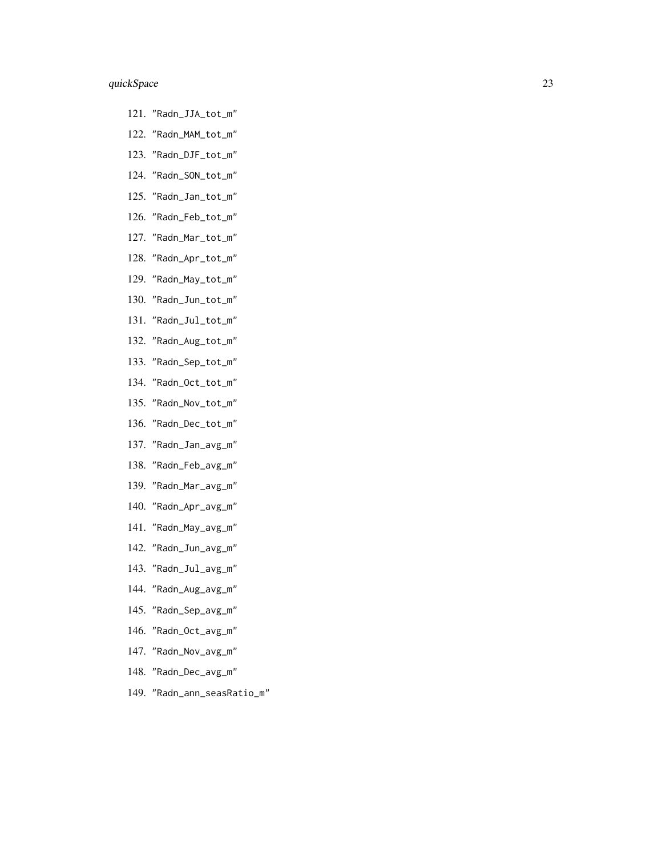- 121. "Radn\_JJA\_tot\_m"
- 122. "Radn\_MAM\_tot\_m"
- 123. "Radn\_DJF\_tot\_m"
- 124. "Radn\_SON\_tot\_m"
- 125. "Radn\_Jan\_tot\_m"
- 126. "Radn\_Feb\_tot\_m"
- 127. "Radn\_Mar\_tot\_m"
- 128. "Radn\_Apr\_tot\_m"
- 129. "Radn\_May\_tot\_m"
- 130. "Radn\_Jun\_tot\_m"
- 131. "Radn\_Jul\_tot\_m"
- 132. "Radn\_Aug\_tot\_m"
- 133. "Radn\_Sep\_tot\_m"
- 134. "Radn\_Oct\_tot\_m"
- 135. "Radn\_Nov\_tot\_m"
- 136. "Radn\_Dec\_tot\_m"
- 137. "Radn\_Jan\_avg\_m"
- 138. "Radn\_Feb\_avg\_m"
- 139. "Radn\_Mar\_avg\_m"
- 140. "Radn\_Apr\_avg\_m"
- 141. "Radn\_May\_avg\_m"
- 142. "Radn\_Jun\_avg\_m"
- 143. "Radn\_Jul\_avg\_m"
- 144. "Radn\_Aug\_avg\_m"
- 145. "Radn\_Sep\_avg\_m"
- 146. "Radn\_Oct\_avg\_m"
- 147. "Radn\_Nov\_avg\_m"
- 148. "Radn\_Dec\_avg\_m"
- 149. "Radn\_ann\_seasRatio\_m"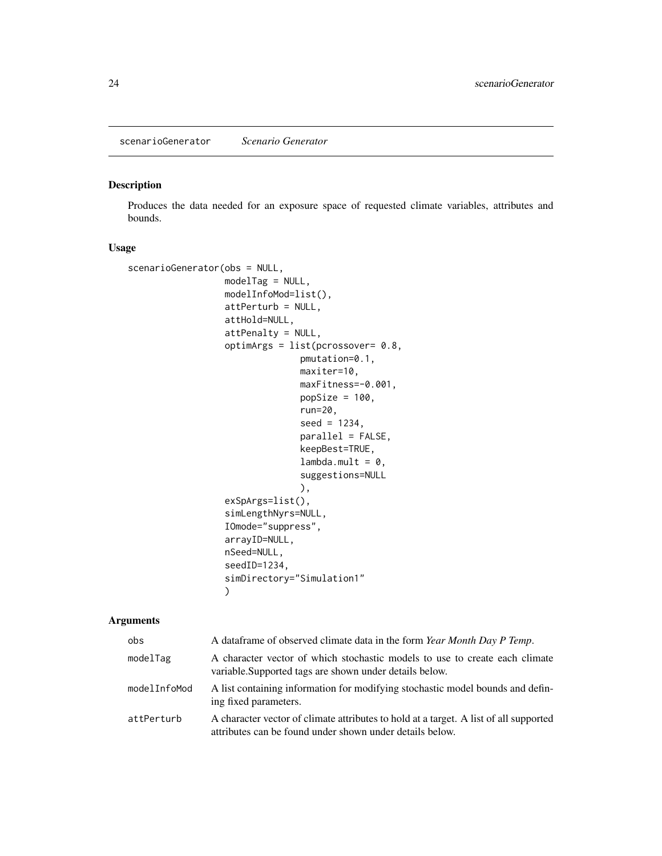<span id="page-23-1"></span><span id="page-23-0"></span>scenarioGenerator *Scenario Generator*

# Description

Produces the data needed for an exposure space of requested climate variables, attributes and bounds.

## Usage

```
scenarioGenerator(obs = NULL,
                  modelTag = NULL,
                  modelInfoMod=list(),
                  attPerturb = NULL,
                  attHold=NULL,
                  attPenalty = NULL,
                  optimArgs = list(pcrossover= 0.8,
                                pmutation=0.1,
                                maxiter=10,
                                maxFitness=-0.001,
                                popSize = 100,run=20,
                                 seed = 1234,
                                 parallel = FALSE,
                                 keepBest=TRUE,
                                 lambda.mult = 0,suggestions=NULL
                                 ),
                  exSpArgs=list(),
                  simLengthNyrs=NULL,
                  IOmode="suppress",
                  arrayID=NULL,
                  nSeed=NULL,
                  seedID=1234,
                  simDirectory="Simulation1"
                  )
```
# Arguments

| obs          | A data frame of observed climate data in the form Year Month Day P Temp.                                                                          |
|--------------|---------------------------------------------------------------------------------------------------------------------------------------------------|
| modelTag     | A character vector of which stochastic models to use to create each climate<br>variable. Supported tags are shown under details below.            |
| modelInfoMod | A list containing information for modifying stochastic model bounds and defin-<br>ing fixed parameters.                                           |
| attPerturb   | A character vector of climate attributes to hold at a target. A list of all supported<br>attributes can be found under shown under details below. |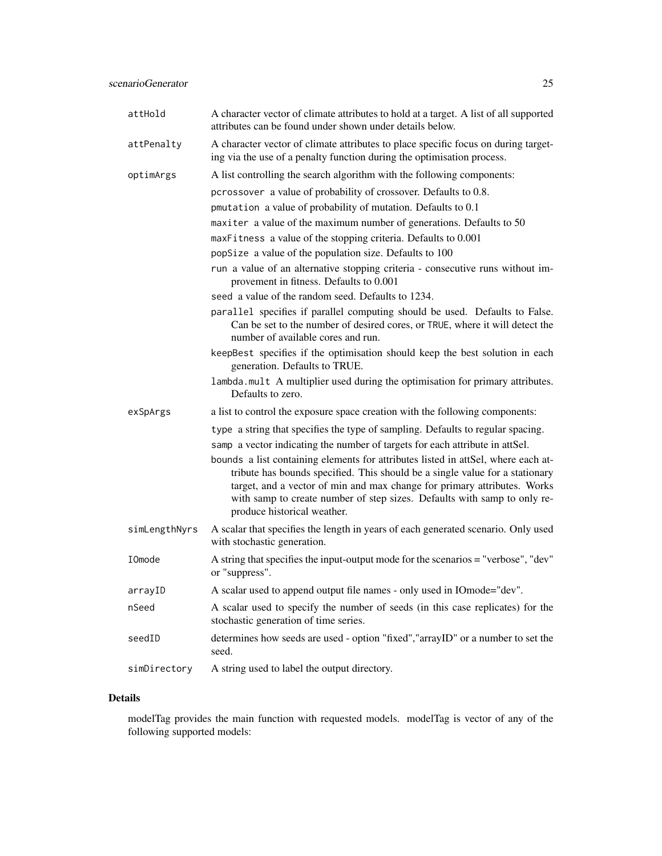| attHold       | A character vector of climate attributes to hold at a target. A list of all supported<br>attributes can be found under shown under details below.                                                                                                                                                                                                        |
|---------------|----------------------------------------------------------------------------------------------------------------------------------------------------------------------------------------------------------------------------------------------------------------------------------------------------------------------------------------------------------|
| attPenalty    | A character vector of climate attributes to place specific focus on during target-<br>ing via the use of a penalty function during the optimisation process.                                                                                                                                                                                             |
| optimArgs     | A list controlling the search algorithm with the following components:                                                                                                                                                                                                                                                                                   |
|               | pcrossover a value of probability of crossover. Defaults to 0.8.                                                                                                                                                                                                                                                                                         |
|               | pmutation a value of probability of mutation. Defaults to 0.1                                                                                                                                                                                                                                                                                            |
|               | maxiter a value of the maximum number of generations. Defaults to 50                                                                                                                                                                                                                                                                                     |
|               | maxFitness a value of the stopping criteria. Defaults to 0.001                                                                                                                                                                                                                                                                                           |
|               | popSize a value of the population size. Defaults to 100                                                                                                                                                                                                                                                                                                  |
|               | run a value of an alternative stopping criteria - consecutive runs without im-<br>provement in fitness. Defaults to 0.001                                                                                                                                                                                                                                |
|               | seed a value of the random seed. Defaults to 1234.                                                                                                                                                                                                                                                                                                       |
|               | parallel specifies if parallel computing should be used. Defaults to False.<br>Can be set to the number of desired cores, or TRUE, where it will detect the<br>number of available cores and run.                                                                                                                                                        |
|               | keepBest specifies if the optimisation should keep the best solution in each<br>generation. Defaults to TRUE.                                                                                                                                                                                                                                            |
|               | lambda.mult A multiplier used during the optimisation for primary attributes.<br>Defaults to zero.                                                                                                                                                                                                                                                       |
| exSpArgs      | a list to control the exposure space creation with the following components:                                                                                                                                                                                                                                                                             |
|               | type a string that specifies the type of sampling. Defaults to regular spacing.                                                                                                                                                                                                                                                                          |
|               | samp a vector indicating the number of targets for each attribute in attSel.                                                                                                                                                                                                                                                                             |
|               | bounds a list containing elements for attributes listed in attSel, where each at-<br>tribute has bounds specified. This should be a single value for a stationary<br>target, and a vector of min and max change for primary attributes. Works<br>with samp to create number of step sizes. Defaults with samp to only re-<br>produce historical weather. |
| simLengthNyrs | A scalar that specifies the length in years of each generated scenario. Only used<br>with stochastic generation.                                                                                                                                                                                                                                         |
| IOmode        | A string that specifies the input-output mode for the scenarios = "verbose", "dev"<br>or "suppress".                                                                                                                                                                                                                                                     |
| arrayID       | A scalar used to append output file names - only used in IOmode="dev".                                                                                                                                                                                                                                                                                   |
| nSeed         | A scalar used to specify the number of seeds (in this case replicates) for the<br>stochastic generation of time series.                                                                                                                                                                                                                                  |
| seedID        | determines how seeds are used - option "fixed", "arrayID" or a number to set the<br>seed.                                                                                                                                                                                                                                                                |
| simDirectory  | A string used to label the output directory.                                                                                                                                                                                                                                                                                                             |

# Details

modelTag provides the main function with requested models. modelTag is vector of any of the following supported models: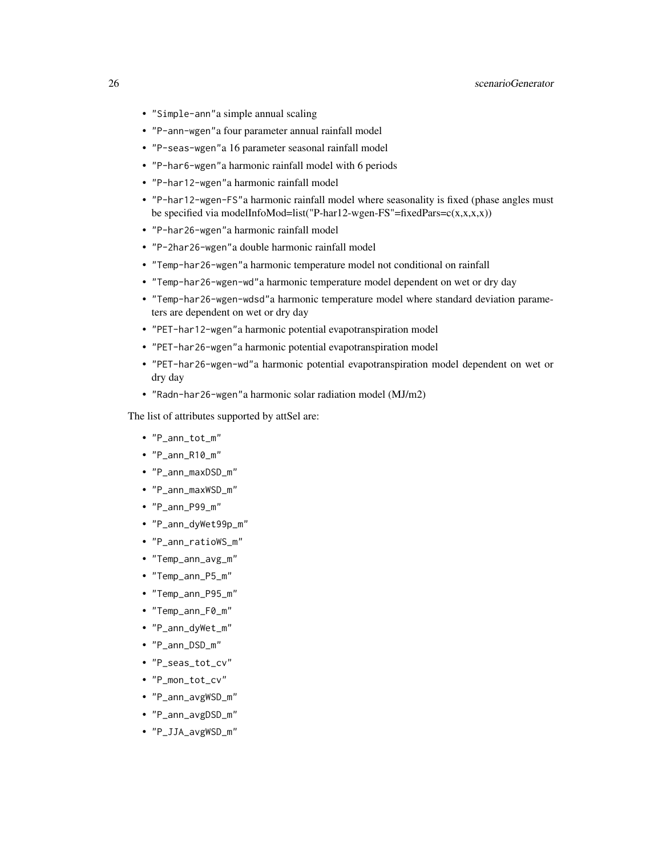- "Simple-ann"a simple annual scaling
- "P-ann-wgen"a four parameter annual rainfall model
- "P-seas-wgen"a 16 parameter seasonal rainfall model
- "P-har6-wgen"a harmonic rainfall model with 6 periods
- "P-har12-wgen"a harmonic rainfall model
- "P-har12-wgen-FS"a harmonic rainfall model where seasonality is fixed (phase angles must be specified via modelInfoMod=list("P-har12-wgen-FS"=fixedPars= $c(x,x,x,x)$ )
- "P-har26-wgen"a harmonic rainfall model
- "P-2har26-wgen"a double harmonic rainfall model
- "Temp-har26-wgen"a harmonic temperature model not conditional on rainfall
- "Temp-har26-wgen-wd"a harmonic temperature model dependent on wet or dry day
- "Temp-har26-wgen-wdsd"a harmonic temperature model where standard deviation parameters are dependent on wet or dry day
- "PET-har12-wgen"a harmonic potential evapotranspiration model
- "PET-har26-wgen"a harmonic potential evapotranspiration model
- "PET-har26-wgen-wd"a harmonic potential evapotranspiration model dependent on wet or dry day
- "Radn-har26-wgen"a harmonic solar radiation model (MJ/m2)

The list of attributes supported by attSel are:

- "P\_ann\_tot\_m"
- "P\_ann\_R10\_m"
- "P\_ann\_maxDSD\_m"
- "P\_ann\_maxWSD\_m"
- "P\_ann\_P99\_m"
- "P\_ann\_dyWet99p\_m"
- "P\_ann\_ratioWS\_m"
- "Temp\_ann\_avg\_m"
- "Temp\_ann\_P5\_m"
- "Temp\_ann\_P95\_m"
- "Temp\_ann\_F0\_m"
- "P\_ann\_dyWet\_m"
- "P\_ann\_DSD\_m"
- "P\_seas\_tot\_cv"
- "P\_mon\_tot\_cv"
- "P\_ann\_avgWSD\_m"
- "P\_ann\_avgDSD\_m"
- "P\_JJA\_avgWSD\_m"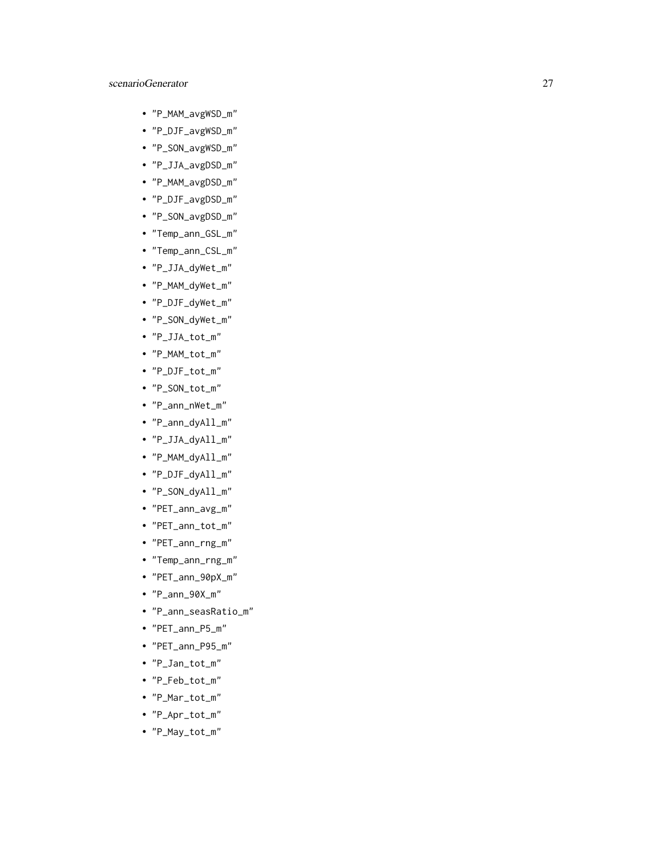- "P\_MAM\_avgWSD\_m"
- "P\_DJF\_avgWSD\_m"
- "P\_SON\_avgWSD\_m"
- "P\_JJA\_avgDSD\_m"
- "P\_MAM\_avgDSD\_m"
- "P\_DJF\_avgDSD\_m"
- "P\_SON\_avgDSD\_m"
- "Temp\_ann\_GSL\_m"
- "Temp\_ann\_CSL\_m"
- "P\_JJA\_dyWet\_m"
- "P\_MAM\_dyWet\_m"
- "P\_DJF\_dyWet\_m"
- "P\_SON\_dyWet\_m"
- "P\_JJA\_tot\_m"
- "P\_MAM\_tot\_m"
- "P\_DJF\_tot\_m"
- "P\_SON\_tot\_m"
- "P\_ann\_nWet\_m"
- "P\_ann\_dyAll\_m"
- "P\_JJA\_dyAll\_m"
- "P\_MAM\_dyAll\_m"
- "P\_DJF\_dyAll\_m"
- "P\_SON\_dyAll\_m"
- "PET\_ann\_avg\_m"
- "PET\_ann\_tot\_m"
- "PET\_ann\_rng\_m"
- "Temp\_ann\_rng\_m"
- "PET\_ann\_90pX\_m"
- "P\_ann\_90X\_m"
- "P\_ann\_seasRatio\_m"
- "PET\_ann\_P5\_m"
- "PET\_ann\_P95\_m"
- "P\_Jan\_tot\_m"
- "P\_Feb\_tot\_m"
- "P\_Mar\_tot\_m"
- "P\_Apr\_tot\_m"
- "P\_May\_tot\_m"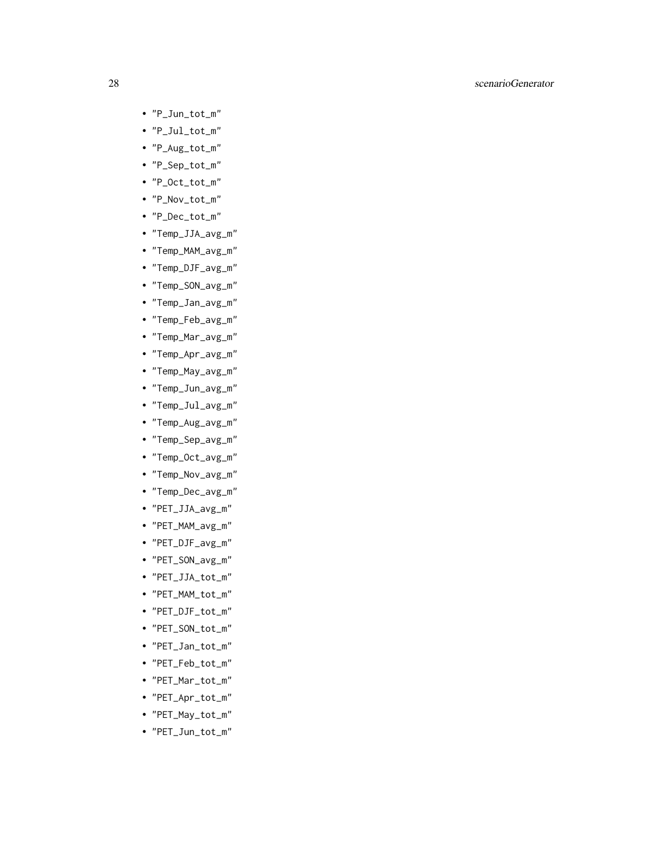- "P\_Jun\_tot\_m"
- "P\_Jul\_tot\_m"
- "P\_Aug\_tot\_m"
- "P\_Sep\_tot\_m"
- "P\_Oct\_tot\_m"
- "P\_Nov\_tot\_m"
- "P\_Dec\_tot\_m"
- "Temp\_JJA\_avg\_m"
- "Temp\_MAM\_avg\_m"
- "Temp\_DJF\_avg\_m"
- "Temp\_SON\_avg\_m"
- "Temp\_Jan\_avg\_m"
- "Temp\_Feb\_avg\_m"
- "Temp\_Mar\_avg\_m"
- "Temp\_Apr\_avg\_m"
- "Temp\_May\_avg\_m"
- "Temp\_Jun\_avg\_m"
- "Temp\_Jul\_avg\_m"
- "Temp\_Aug\_avg\_m"
- "Temp\_Sep\_avg\_m"
- "Temp\_Oct\_avg\_m"
- "Temp\_Nov\_avg\_m"
- "Temp\_Dec\_avg\_m"
- "PET\_JJA\_avg\_m"
- "PET\_MAM\_avg\_m"
- "PET\_DJF\_avg\_m"
- "PET\_SON\_avg\_m"
- "PET\_JJA\_tot\_m"
- "PET\_MAM\_tot\_m"
- "PET\_DJF\_tot\_m"
- "PET\_SON\_tot\_m"
- "PET\_Jan\_tot\_m"
- "PET\_Feb\_tot\_m"
- "PET\_Mar\_tot\_m"
- "PET\_Apr\_tot\_m"
- "PET\_May\_tot\_m"
- "PET\_Jun\_tot\_m"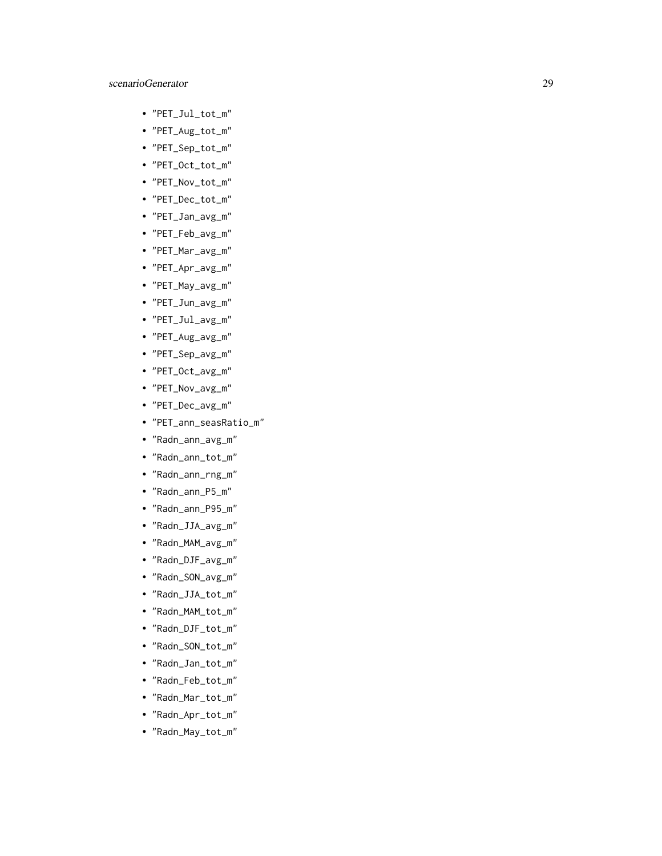- "PET\_Jul\_tot\_m"
- "PET\_Aug\_tot\_m"
- "PET\_Sep\_tot\_m"
- "PET\_Oct\_tot\_m"
- "PET\_Nov\_tot\_m"
- "PET\_Dec\_tot\_m"
- "PET\_Jan\_avg\_m"
- "PET\_Feb\_avg\_m"
- "PET\_Mar\_avg\_m"
- "PET\_Apr\_avg\_m"
- "PET\_May\_avg\_m"
- "PET\_Jun\_avg\_m"
- "PET\_Jul\_avg\_m"
- "PET\_Aug\_avg\_m"
- "PET\_Sep\_avg\_m"
- "PET\_Oct\_avg\_m"
- "PET\_Nov\_avg\_m"
- "PET\_Dec\_avg\_m"
- "PET\_ann\_seasRatio\_m"
- "Radn\_ann\_avg\_m"
- "Radn\_ann\_tot\_m"
- "Radn\_ann\_rng\_m"
- "Radn\_ann\_P5\_m"
- "Radn\_ann\_P95\_m"
- "Radn\_JJA\_avg\_m"
- "Radn\_MAM\_avg\_m"
- "Radn\_DJF\_avg\_m"
- "Radn\_SON\_avg\_m"
- "Radn\_JJA\_tot\_m"
- "Radn\_MAM\_tot\_m"
- "Radn\_DJF\_tot\_m"
- "Radn\_SON\_tot\_m"
- "Radn\_Jan\_tot\_m"
- "Radn\_Feb\_tot\_m"
- "Radn\_Mar\_tot\_m"
- "Radn\_Apr\_tot\_m"
- "Radn\_May\_tot\_m"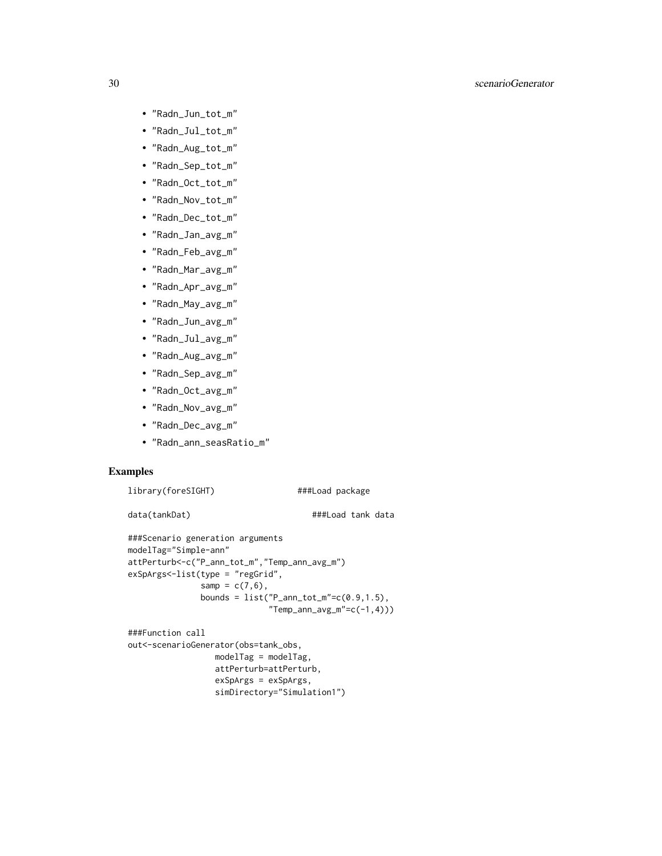- "Radn\_Jun\_tot\_m"
- "Radn\_Jul\_tot\_m"
- "Radn\_Aug\_tot\_m"
- "Radn\_Sep\_tot\_m"
- "Radn\_Oct\_tot\_m"
- "Radn\_Nov\_tot\_m"
- "Radn\_Dec\_tot\_m"
- "Radn\_Jan\_avg\_m"
- "Radn\_Feb\_avg\_m"
- "Radn\_Mar\_avg\_m"
- "Radn\_Apr\_avg\_m"
- "Radn\_May\_avg\_m"
- "Radn\_Jun\_avg\_m"
- "Radn\_Jul\_avg\_m"
- "Radn\_Aug\_avg\_m"
- "Radn\_Sep\_avg\_m"
- "Radn\_Oct\_avg\_m"
- "Radn\_Nov\_avg\_m"
- "Radn\_Dec\_avg\_m"
- "Radn\_ann\_seasRatio\_m"

# Examples

```
library(foreSIGHT) ###Load package
```
data(tankDat)  $\#$ ##Load tank data

```
###Scenario generation arguments
modelTag="Simple-ann"
attPerturb<-c("P_ann_tot_m","Temp_ann_avg_m")
exSpArgs<-list(type = "regGrid",
                samp = c(7, 6),
                bounds = list("P_{ann\_tot_m" = c(0.9, 1.5)),
                                "Temp\_ann\_\,\_\,\_\,\_\,\_\,\_c(-1,4)))
```

```
###Function call
out<-scenarioGenerator(obs=tank_obs,
                 modelTag = modelTag,
                 attPerturb=attPerturb,
                 exSpArgs = exSpArgs,
                  simDirectory="Simulation1")
```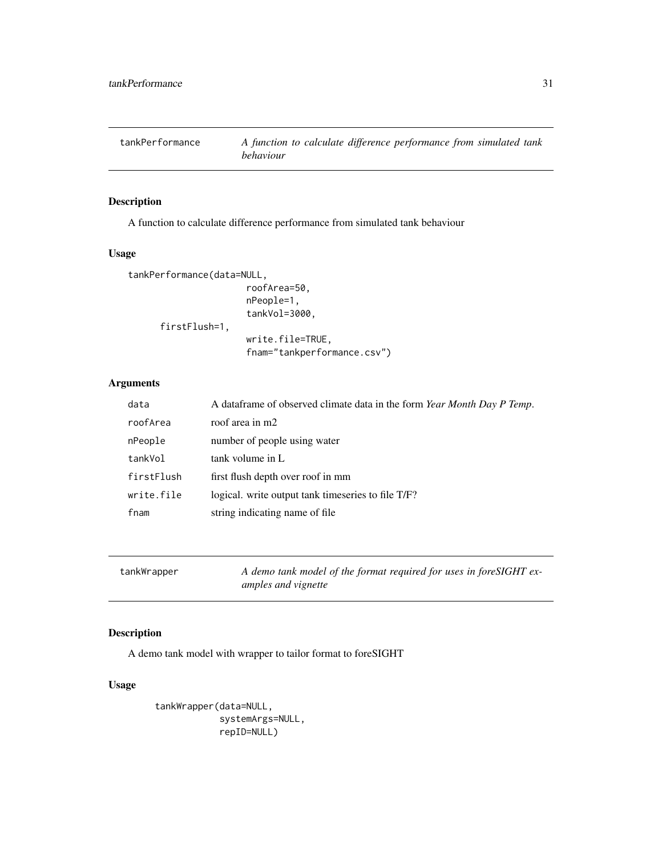<span id="page-30-0"></span>

# Description

A function to calculate difference performance from simulated tank behaviour

# Usage

```
tankPerformance(data=NULL,
                      roofArea=50,
                      nPeople=1,
                      tankVol=3000,
      firstFlush=1,
                      write.file=TRUE,
                      fnam="tankperformance.csv")
```
# Arguments

| data       | A dataframe of observed climate data in the form Year Month Day P Temp. |
|------------|-------------------------------------------------------------------------|
| roofArea   | roof area in m2                                                         |
| nPeople    | number of people using water                                            |
| tankVol    | tank volume in L                                                        |
| firstFlush | first flush depth over roof in mm                                       |
| write.file | logical, write output tank timeseries to file T/F?                      |
| fnam       | string indicating name of file                                          |
|            |                                                                         |

| tankWrapper | A demo tank model of the format required for uses in foreSIGHT ex- |
|-------------|--------------------------------------------------------------------|
|             | amples and vignette                                                |

# Description

A demo tank model with wrapper to tailor format to foreSIGHT

# Usage

```
tankWrapper(data=NULL,
            systemArgs=NULL,
            repID=NULL)
```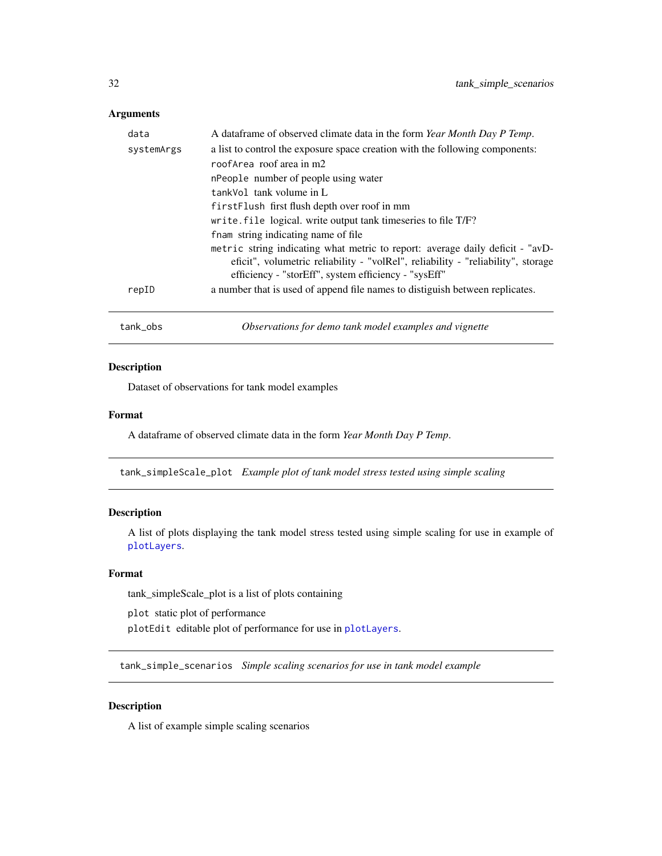# <span id="page-31-0"></span>Arguments

| tank_obs   | Observations for demo tank model examples and vignette                                                                                                                                                                    |
|------------|---------------------------------------------------------------------------------------------------------------------------------------------------------------------------------------------------------------------------|
| repID      | a number that is used of append file names to distiguish between replicates.                                                                                                                                              |
|            | metric string indicating what metric to report: average daily deficit - "avD-<br>eficit", volumetric reliability - "volRel", reliability - "reliability", storage<br>efficiency - "storEff", system efficiency - "sysEff" |
|            | fnam string indicating name of file                                                                                                                                                                                       |
|            | write. file logical. write output tank timeseries to file T/F?                                                                                                                                                            |
|            | firstFlush first flush depth over roof in mm                                                                                                                                                                              |
|            | tankVol tank volume in L                                                                                                                                                                                                  |
|            | nPeople number of people using water                                                                                                                                                                                      |
|            | roof Area roof area in m2                                                                                                                                                                                                 |
| systemArgs | a list to control the exposure space creation with the following components:                                                                                                                                              |
| data       | A data frame of observed climate data in the form Year Month Day P Temp.                                                                                                                                                  |

# Description

Dataset of observations for tank model examples

# Format

A dataframe of observed climate data in the form *Year Month Day P Temp*.

tank\_simpleScale\_plot *Example plot of tank model stress tested using simple scaling*

# Description

A list of plots displaying the tank model stress tested using simple scaling for use in example of [plotLayers](#page-13-1).

#### Format

tank\_simpleScale\_plot is a list of plots containing

plot static plot of performance plotEdit editable plot of performance for use in [plotLayers](#page-13-1).

tank\_simple\_scenarios *Simple scaling scenarios for use in tank model example*

# Description

A list of example simple scaling scenarios